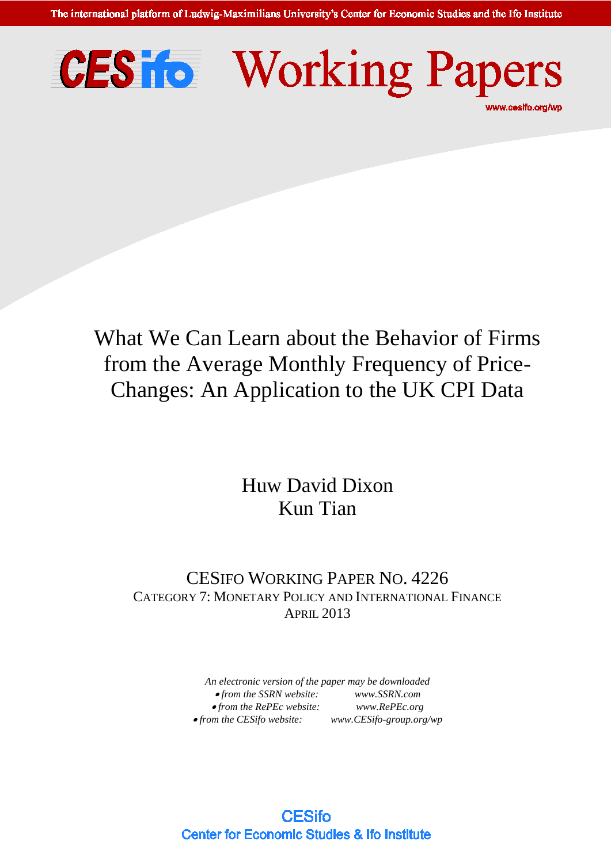The international platform of Ludwig-Maximilians University's Center for Economic Studies and the Ifo Institute





# What We Can Learn about the Behavior of Firms from the Average Monthly Frequency of Price-Changes: An Application to the UK CPI Data

# Huw David Dixon Kun Tian

# CESIFO WORKING PAPER NO. 4226 CATEGORY 7: MONETARY POLICY AND INTERNATIONAL FINANCE APRIL 2013

*An electronic version of the paper may be downloaded*  • *from the SSRN website: [www.SSRN.com](http://www.ssrn.com/)* • *from the RePEc website: [www.RePEc.org](http://www.repec.org/)*  $\bullet$  *from the CESifo website: [www.CESifo-group.org/wp](http://www.cesifo-group.de/)* 

**CESifo Center for Economic Studies & Ifo Institute**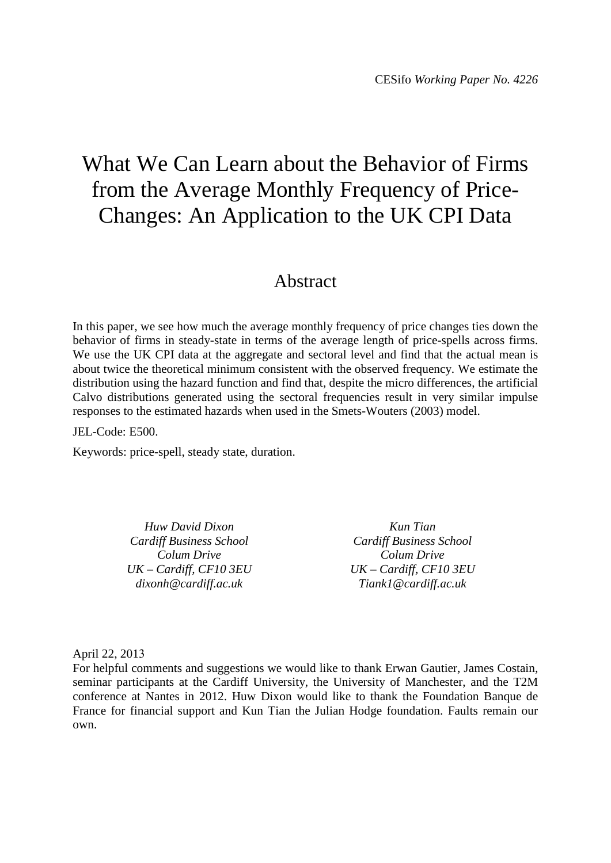# What We Can Learn about the Behavior of Firms from the Average Monthly Frequency of Price-Changes: An Application to the UK CPI Data

# Abstract

In this paper, we see how much the average monthly frequency of price changes ties down the behavior of firms in steady-state in terms of the average length of price-spells across firms. We use the UK CPI data at the aggregate and sectoral level and find that the actual mean is about twice the theoretical minimum consistent with the observed frequency. We estimate the distribution using the hazard function and find that, despite the micro differences, the artificial Calvo distributions generated using the sectoral frequencies result in very similar impulse responses to the estimated hazards when used in the Smets-Wouters (2003) model.

#### JEL-Code: E500.

Keywords: price-spell, steady state, duration.

*Huw David Dixon Cardiff Business School Colum Drive UK – Cardiff, CF10 3EU dixonh@cardiff.ac.uk*

*Kun Tian Cardiff Business School Colum Drive UK – Cardiff, CF10 3EU Tiank1@cardiff.ac.uk*

April 22, 2013

For helpful comments and suggestions we would like to thank Erwan Gautier, James Costain, seminar participants at the Cardiff University, the University of Manchester, and the T2M conference at Nantes in 2012. Huw Dixon would like to thank the Foundation Banque de France for financial support and Kun Tian the Julian Hodge foundation. Faults remain our own.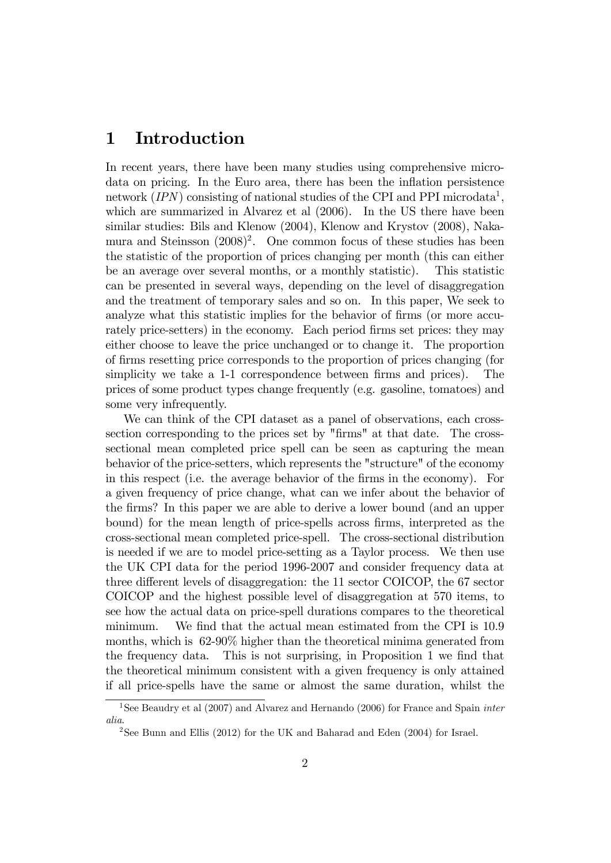## 1 Introduction

In recent years, there have been many studies using comprehensive microdata on pricing. In the Euro area, there has been the inflation persistence network (IPN) consisting of national studies of the CPI and PPI microdata<sup>1</sup>, which are summarized in Alvarez et al (2006). In the US there have been similar studies: Bils and Klenow (2004), Klenow and Krystov (2008), Nakamura and Steinsson (2008)<sup>2</sup>. One common focus of these studies has been the statistic of the proportion of prices changing per month (this can either be an average over several months, or a monthly statistic). This statistic can be presented in several ways, depending on the level of disaggregation and the treatment of temporary sales and so on. In this paper, We seek to analyze what this statistic implies for the behavior of firms (or more accurately price-setters) in the economy. Each period firms set prices: they may either choose to leave the price unchanged or to change it. The proportion of Örms resetting price corresponds to the proportion of prices changing (for simplicity we take a 1-1 correspondence between firms and prices). The prices of some product types change frequently (e.g. gasoline, tomatoes) and some very infrequently.

We can think of the CPI dataset as a panel of observations, each crosssection corresponding to the prices set by "Örms" at that date. The crosssectional mean completed price spell can be seen as capturing the mean behavior of the price-setters, which represents the "structure" of the economy in this respect (i.e. the average behavior of the firms in the economy). For a given frequency of price change, what can we infer about the behavior of the Örms? In this paper we are able to derive a lower bound (and an upper bound) for the mean length of price-spells across Örms, interpreted as the cross-sectional mean completed price-spell. The cross-sectional distribution is needed if we are to model price-setting as a Taylor process. We then use the UK CPI data for the period 1996-2007 and consider frequency data at three different levels of disaggregation: the  $11$  sector COICOP, the  $67$  sector COICOP and the highest possible level of disaggregation at 570 items, to see how the actual data on price-spell durations compares to the theoretical minimum. We find that the actual mean estimated from the CPI is 10.9 months, which is 62-90% higher than the theoretical minima generated from the frequency data. This is not surprising, in Proposition 1 we find that the theoretical minimum consistent with a given frequency is only attained if all price-spells have the same or almost the same duration, whilst the

<sup>&</sup>lt;sup>1</sup>See Beaudry et al  $(2007)$  and Alvarez and Hernando  $(2006)$  for France and Spain *inter* alia.

<sup>2</sup>See Bunn and Ellis (2012) for the UK and Baharad and Eden (2004) for Israel.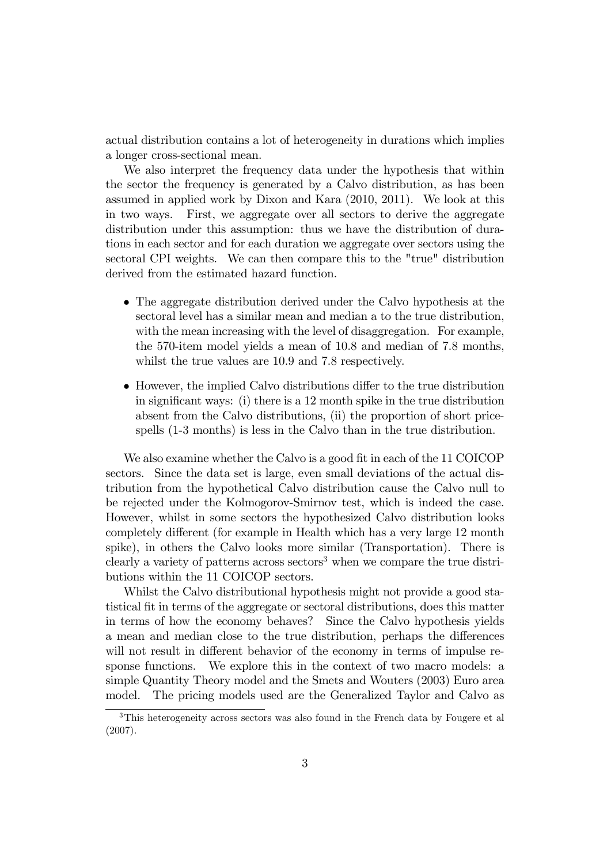actual distribution contains a lot of heterogeneity in durations which implies a longer cross-sectional mean.

We also interpret the frequency data under the hypothesis that within the sector the frequency is generated by a Calvo distribution, as has been assumed in applied work by Dixon and Kara (2010, 2011). We look at this in two ways. First, we aggregate over all sectors to derive the aggregate distribution under this assumption: thus we have the distribution of durations in each sector and for each duration we aggregate over sectors using the sectoral CPI weights. We can then compare this to the "true" distribution derived from the estimated hazard function.

- The aggregate distribution derived under the Calvo hypothesis at the sectoral level has a similar mean and median a to the true distribution, with the mean increasing with the level of disaggregation. For example, the 570-item model yields a mean of 10.8 and median of 7.8 months, whilst the true values are 10.9 and 7.8 respectively.
- However, the implied Calvo distributions differ to the true distribution in significant ways: (i) there is a  $12$  month spike in the true distribution absent from the Calvo distributions, (ii) the proportion of short pricespells (1-3 months) is less in the Calvo than in the true distribution.

We also examine whether the Calvo is a good fit in each of the 11 COICOP sectors. Since the data set is large, even small deviations of the actual distribution from the hypothetical Calvo distribution cause the Calvo null to be rejected under the Kolmogorov-Smirnov test, which is indeed the case. However, whilst in some sectors the hypothesized Calvo distribution looks completely different (for example in Health which has a very large 12 month spike), in others the Calvo looks more similar (Transportation). There is clearly a variety of patterns across sectors<sup>3</sup> when we compare the true distributions within the 11 COICOP sectors.

Whilst the Calvo distributional hypothesis might not provide a good statistical Öt in terms of the aggregate or sectoral distributions, does this matter in terms of how the economy behaves? Since the Calvo hypothesis yields a mean and median close to the true distribution, perhaps the differences will not result in different behavior of the economy in terms of impulse response functions. We explore this in the context of two macro models: a simple Quantity Theory model and the Smets and Wouters (2003) Euro area model. The pricing models used are the Generalized Taylor and Calvo as

<sup>3</sup>This heterogeneity across sectors was also found in the French data by Fougere et al (2007).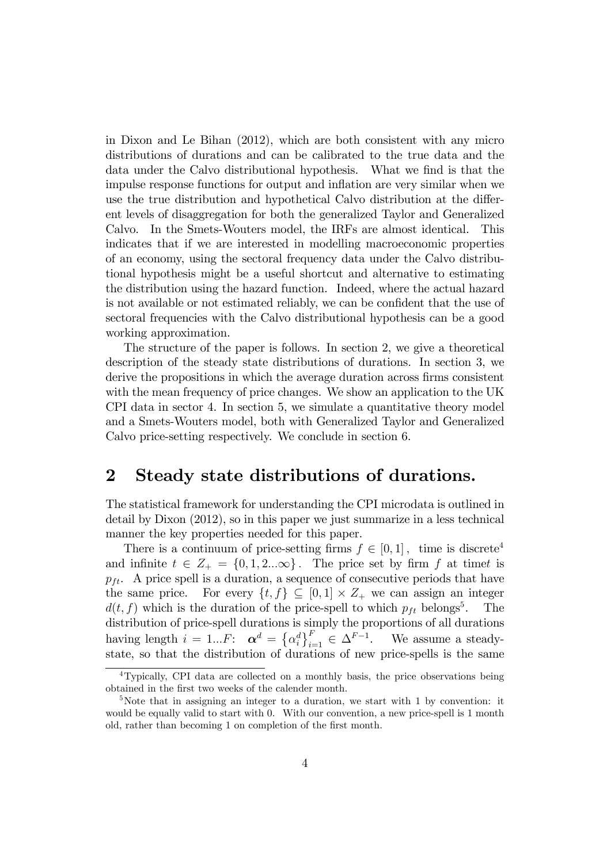in Dixon and Le Bihan (2012), which are both consistent with any micro distributions of durations and can be calibrated to the true data and the data under the Calvo distributional hypothesis. What we find is that the impulse response functions for output and inflation are very similar when we use the true distribution and hypothetical Calvo distribution at the different levels of disaggregation for both the generalized Taylor and Generalized Calvo. In the Smets-Wouters model, the IRFs are almost identical. This indicates that if we are interested in modelling macroeconomic properties of an economy, using the sectoral frequency data under the Calvo distributional hypothesis might be a useful shortcut and alternative to estimating the distribution using the hazard function. Indeed, where the actual hazard is not available or not estimated reliably, we can be confident that the use of sectoral frequencies with the Calvo distributional hypothesis can be a good working approximation.

The structure of the paper is follows. In section 2, we give a theoretical description of the steady state distributions of durations. In section 3, we derive the propositions in which the average duration across firms consistent with the mean frequency of price changes. We show an application to the UK CPI data in sector 4. In section 5, we simulate a quantitative theory model and a Smets-Wouters model, both with Generalized Taylor and Generalized Calvo price-setting respectively. We conclude in section 6.

## 2 Steady state distributions of durations.

The statistical framework for understanding the CPI microdata is outlined in detail by Dixon (2012), so in this paper we just summarize in a less technical manner the key properties needed for this paper.

There is a continuum of price-setting firms  $f \in [0, 1]$ , time is discrete<sup>4</sup> and infinite  $t \in Z_+ = \{0, 1, 2...\infty\}$ . The price set by firm f at timet is  $p_{ft}$ . A price spell is a duration, a sequence of consecutive periods that have the same price. For every  $\{t, f\} \subseteq [0, 1] \times Z_+$  we can assign an integer  $d(t, f)$  which is the duration of the price-spell to which  $p_{ft}$  belongs<sup>5</sup>. . The distribution of price-spell durations is simply the proportions of all durations having length  $i = 1...F$ :  $\boldsymbol{\alpha}^d = \left\{ \alpha_i^d \right\}_{i=1}^F \in \Delta^{F-1}$ . We assume a steadystate, so that the distribution of durations of new price-spells is the same

<sup>&</sup>lt;sup>4</sup>Typically, CPI data are collected on a monthly basis, the price observations being obtained in the first two weeks of the calender month.

 $5$ Note that in assigning an integer to a duration, we start with 1 by convention: it would be equally valid to start with 0. With our convention, a new price-spell is 1 month old, rather than becoming 1 on completion of the first month.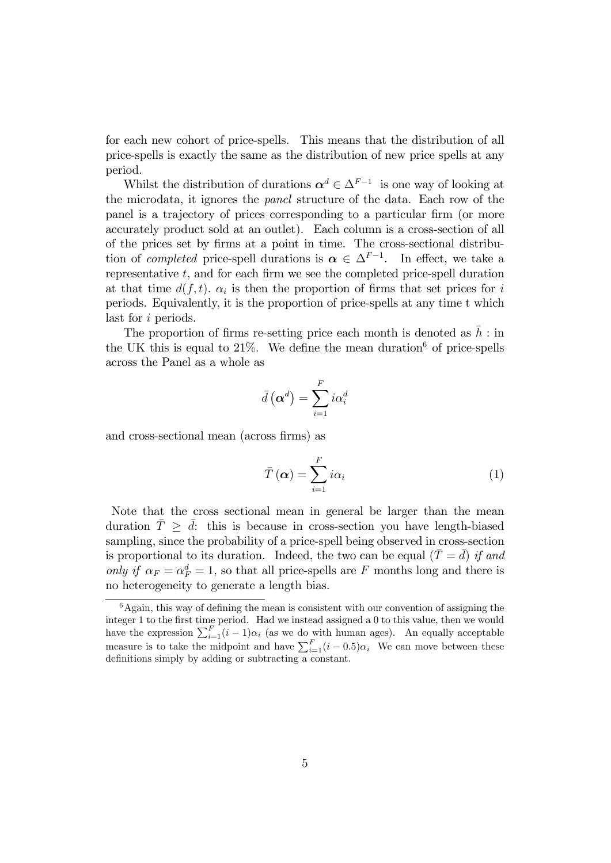for each new cohort of price-spells. This means that the distribution of all price-spells is exactly the same as the distribution of new price spells at any period.

Whilst the distribution of durations  $\boldsymbol{\alpha}^d \in \Delta^{F-1}$  is one way of looking at the microdata, it ignores the panel structure of the data. Each row of the panel is a trajectory of prices corresponding to a particular firm (or more accurately product sold at an outlet). Each column is a cross-section of all of the prices set by Örms at a point in time. The cross-sectional distribution of *completed* price-spell durations is  $\alpha \in \Delta^{F-1}$ . In effect, we take a representative  $t$ , and for each firm we see the completed price-spell duration at that time  $d(f, t)$ .  $\alpha_i$  is then the proportion of firms that set prices for i periods. Equivalently, it is the proportion of price-spells at any time t which last for i periods.

The proportion of firms re-setting price each month is denoted as  $\bar{h}$  : in the UK this is equal to  $21\%$ . We define the mean duration <sup>6</sup> of price-spells across the Panel as a whole as

$$
\bar{d}\left(\boldsymbol{\alpha}^{d}\right)=\sum_{i=1}^{F}i\alpha_{i}^{d}
$$

and cross-sectional mean (across firms) as

$$
\bar{T}(\boldsymbol{\alpha}) = \sum_{i=1}^{F} i\alpha_i
$$
 (1)

Note that the cross sectional mean in general be larger than the mean duration  $\overline{T} \geq \overline{d}$ : this is because in cross-section you have length-biased sampling, since the probability of a price-spell being observed in cross-section is proportional to its duration. Indeed, the two can be equal  $(\bar{T} = \bar{d})$  if and only if  $\alpha_F = \alpha_F^d = 1$ , so that all price-spells are F months long and there is no heterogeneity to generate a length bias.

 $6A$ gain, this way of defining the mean is consistent with our convention of assigning the integer 1 to the first time period. Had we instead assigned a 0 to this value, then we would have the expression  $\sum_{i=1}^{F} (i-1)\alpha_i$  (as we do with human ages). An equally acceptable measure is to take the midpoint and have  $\sum_{i=1}^{F} (i - 0.5)\alpha_i$ . We can move between these definitions simply by adding or subtracting a constant.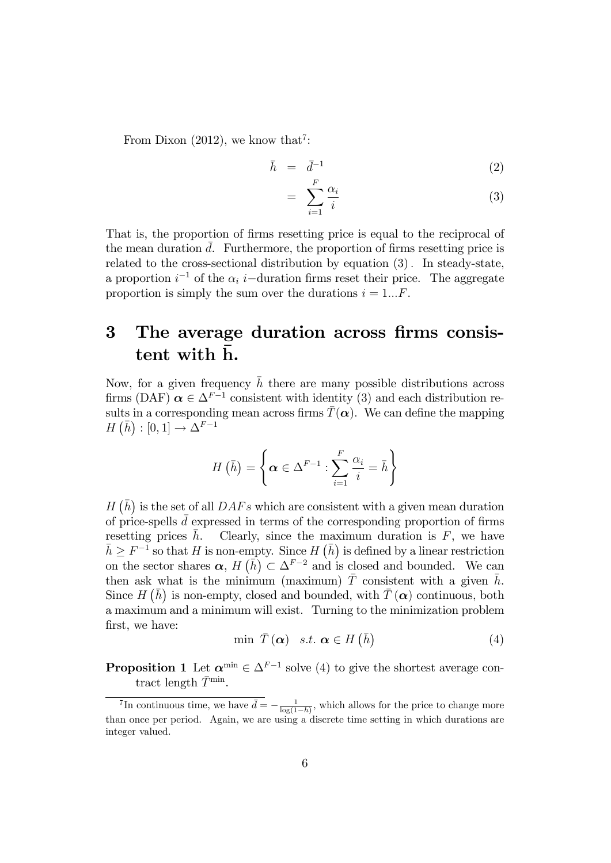From Dixon (2012), we know that<sup>7</sup>:

$$
\bar{h} = \bar{d}^{-1} \tag{2}
$$

$$
= \sum_{i=1}^{F} \frac{\alpha_i}{i} \tag{3}
$$

That is, the proportion of firms resetting price is equal to the reciprocal of the mean duration  $d$ . Furthermore, the proportion of firms resetting price is related to the cross-sectional distribution by equation  $(3)$ . In steady-state, a proportion  $i^{-1}$  of the  $\alpha_i$  i-duration firms reset their price. The aggregate proportion is simply the sum over the durations  $i = 1...F$ .

# 3 The average duration across firms consistent with h.

Now, for a given frequency  $\bar{h}$  there are many possible distributions across firms (DAF)  $\alpha \in \Delta^{F-1}$  consistent with identity (3) and each distribution results in a corresponding mean across firms  $\bar{T}(\alpha)$ . We can define the mapping  $H(\bar{h}) : [0,1] \to \Delta^{F-1}$ 

$$
H\left(\bar{h}\right) = \left\{\boldsymbol{\alpha} \in \Delta^{F-1} : \sum_{i=1}^{F} \frac{\alpha_i}{i} = \bar{h}\right\}
$$

 $H(\bar{h})$  is the set of all  $DAFs$  which are consistent with a given mean duration of price-spells  $\bar{d}$  expressed in terms of the corresponding proportion of firms resetting prices  $\bar{h}$ . Clearly, since the maximum duration is F, we have  $\bar{h} \geq F^{-1}$  so that H is non-empty. Since H  $(\bar{h})$  is defined by a linear restriction on the sector shares  $\alpha$ ,  $H(\bar{h}) \subset \Delta^{F-2}$  and is closed and bounded. We can then ask what is the minimum (maximum)  $\overline{T}$  consistent with a given  $\overline{h}$ . Since  $H(\bar{h})$  is non-empty, closed and bounded, with  $\bar{T}(\alpha)$  continuous, both a maximum and a minimum will exist. Turning to the minimization problem first, we have:

$$
\min \ \bar{T}(\alpha) \quad s.t. \ \alpha \in H(\bar{h}) \tag{4}
$$

**Proposition 1** Let  $\alpha^{\min} \in \Delta^{F-1}$  solve (4) to give the shortest average contract length  $\bar{T}^{\min}$ .

<sup>&</sup>lt;sup>7</sup>In continuous time, we have  $\bar{d} = -\frac{1}{\log(1-\bar{h})}$ , which allows for the price to change more than once per period. Again, we are using a discrete time setting in which durations are integer valued.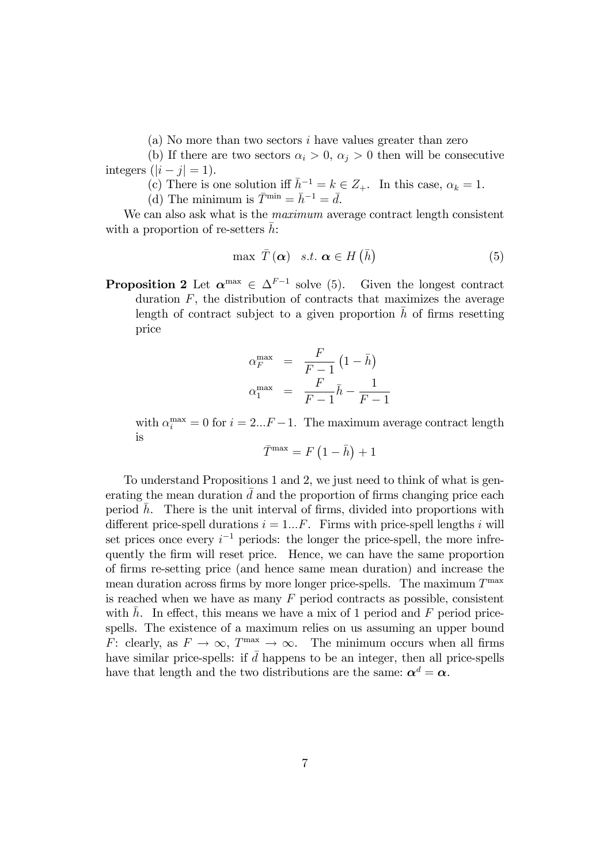(a) No more than two sectors i have values greater than zero

(b) If there are two sectors  $\alpha_i > 0$ ,  $\alpha_j > 0$  then will be consecutive integers  $(|i - j| = 1)$ .

(c) There is one solution iff  $\bar{h}^{-1} = k \in \mathbb{Z}_+$ . In this case,  $\alpha_k = 1$ .

(d) The minimum is  $\overline{T}^{\min} = \overline{h}^{-1} = \overline{d}$ .

We can also ask what is the *maximum* average contract length consistent with a proportion of re-setters  $\bar{h}$ :

$$
\max \ \overline{T}(\alpha) \quad s.t. \ \alpha \in H(\bar{h}) \tag{5}
$$

**Proposition 2** Let  $\boldsymbol{\alpha}^{\text{max}} \in \Delta^{F-1}$  solve (5). Given the longest contract duration  $F$ , the distribution of contracts that maximizes the average length of contract subject to a given proportion  $\bar{h}$  of firms resetting price

$$
\alpha_F^{\max} = \frac{F}{F-1} (1 - \bar{h})
$$

$$
\alpha_1^{\max} = \frac{F}{F-1} \bar{h} - \frac{1}{F-1}
$$

with  $\alpha_i^{\text{max}} = 0$  for  $i = 2...F - 1$ . The maximum average contract length is

$$
\bar{T}^{\max} = F\left(1 - \bar{h}\right) + 1
$$

To understand Propositions 1 and 2, we just need to think of what is generating the mean duration  $d$  and the proportion of firms changing price each period  $h$ . There is the unit interval of firms, divided into proportions with different price-spell durations  $i = 1...F$ . Firms with price-spell lengths i will set prices once every  $i^{-1}$  periods: the longer the price-spell, the more infrequently the Örm will reset price. Hence, we can have the same proportion of Örms re-setting price (and hence same mean duration) and increase the mean duration across firms by more longer price-spells. The maximum  $T^{\max}$ is reached when we have as many  $F$  period contracts as possible, consistent with h. In effect, this means we have a mix of 1 period and  $F$  period pricespells. The existence of a maximum relies on us assuming an upper bound F: clearly, as  $F \to \infty$ ,  $T^{\max} \to \infty$ . The minimum occurs when all firms have similar price-spells: if  $\bar{d}$  happens to be an integer, then all price-spells have that length and the two distributions are the same:  $\alpha^d = \alpha$ .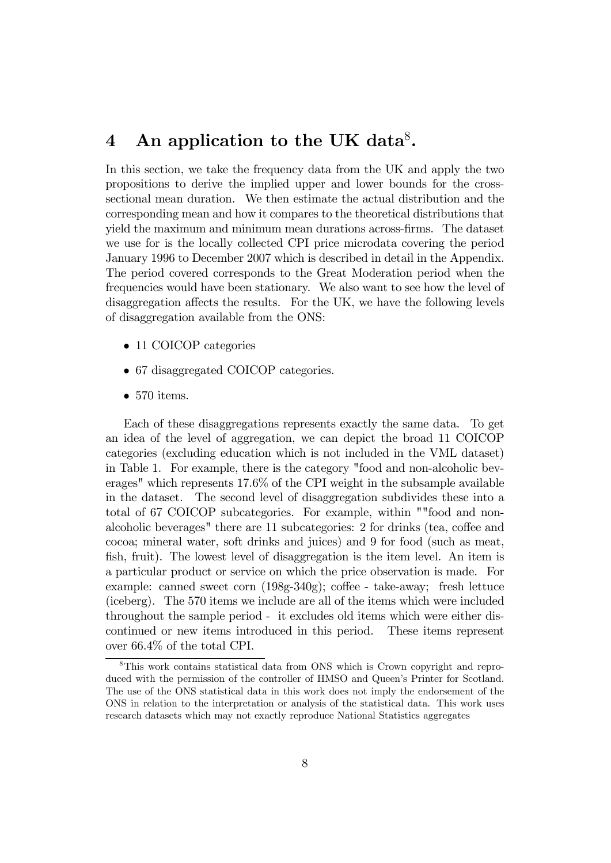# 4 An application to the UK data ${}^{8}$ .

In this section, we take the frequency data from the UK and apply the two propositions to derive the implied upper and lower bounds for the crosssectional mean duration. We then estimate the actual distribution and the corresponding mean and how it compares to the theoretical distributions that yield the maximum and minimum mean durations across-firms. The dataset we use for is the locally collected CPI price microdata covering the period January 1996 to December 2007 which is described in detail in the Appendix. The period covered corresponds to the Great Moderation period when the frequencies would have been stationary. We also want to see how the level of disaggregation affects the results. For the UK, we have the following levels of disaggregation available from the ONS:

- 11 COICOP categories
- 67 disaggregated COICOP categories.
- $\bullet$  570 items.

Each of these disaggregations represents exactly the same data. To get an idea of the level of aggregation, we can depict the broad 11 COICOP categories (excluding education which is not included in the VML dataset) in Table 1. For example, there is the category "food and non-alcoholic beverages" which represents 17.6% of the CPI weight in the subsample available in the dataset. The second level of disaggregation subdivides these into a total of 67 COICOP subcategories. For example, within ""food and nonalcoholic beverages" there are 11 subcategories: 2 for drinks (tea, coffee and cocoa; mineral water, soft drinks and juices) and 9 for food (such as meat, fish, fruit). The lowest level of disaggregation is the item level. An item is a particular product or service on which the price observation is made. For example: canned sweet corn  $(198g-340g)$ ; coffee - take-away; fresh lettuce (iceberg). The 570 items we include are all of the items which were included throughout the sample period - it excludes old items which were either discontinued or new items introduced in this period. These items represent over 66.4% of the total CPI.

<sup>8</sup>This work contains statistical data from ONS which is Crown copyright and reproduced with the permission of the controller of HMSO and Queen's Printer for Scotland. The use of the ONS statistical data in this work does not imply the endorsement of the ONS in relation to the interpretation or analysis of the statistical data. This work uses research datasets which may not exactly reproduce National Statistics aggregates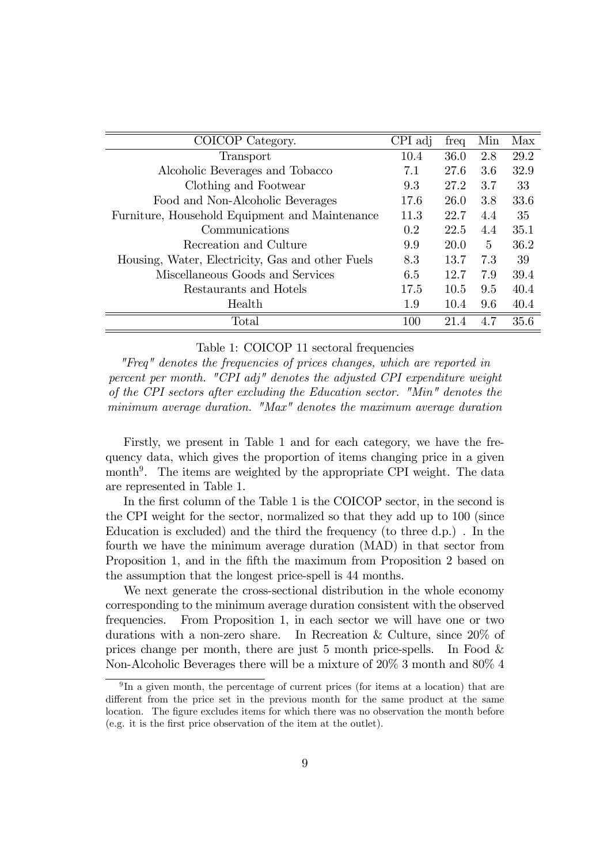| COICOP Category.                                 |                  | freq | Min          | Max  |
|--------------------------------------------------|------------------|------|--------------|------|
| Transport                                        | 10.4             | 36.0 | 2.8          | 29.2 |
| Alcoholic Beverages and Tobacco                  | 7.1              | 27.6 | 3.6          | 32.9 |
| Clothing and Footwear                            | 9.3              | 27.2 | 3.7          | 33   |
| Food and Non-Alcoholic Beverages                 | 17.6             | 26.0 | 3.8          | 33.6 |
| Furniture, Household Equipment and Maintenance   | 11.3             | 22.7 | 4.4          | 35   |
| Communications                                   | 0.2 <sup>1</sup> | 22.5 | 4.4          | 35.1 |
| Recreation and Culture                           | 9.9              | 20.0 | $\mathbf{5}$ | 36.2 |
| Housing, Water, Electricity, Gas and other Fuels | 8.3              | 13.7 | 7.3          | 39   |
| Miscellaneous Goods and Services                 | 6.5              | 12.7 | 7.9          | 39.4 |
| Restaurants and Hotels                           | 17.5             | 10.5 | 9.5          | 40.4 |
| Health                                           | 1.9              | 10.4 | 9.6          | 40.4 |
| Total                                            | 100              | 21.4 | 47           | 35.6 |

#### Table 1: COICOP 11 sectoral frequencies

"Freq" denotes the frequencies of prices changes, which are reported in percent per month. "CPI adj" denotes the adjusted CPI expenditure weight of the CPI sectors after excluding the Education sector. "Min" denotes the minimum average duration. "Max" denotes the maximum average duration

Firstly, we present in Table 1 and for each category, we have the frequency data, which gives the proportion of items changing price in a given month<sup>9</sup>. The items are weighted by the appropriate CPI weight. The data are represented in Table 1.

In the first column of the Table 1 is the COICOP sector, in the second is the CPI weight for the sector, normalized so that they add up to 100 (since Education is excluded) and the third the frequency (to three d.p.) . In the fourth we have the minimum average duration (MAD) in that sector from Proposition 1, and in the fifth the maximum from Proposition 2 based on the assumption that the longest price-spell is 44 months.

We next generate the cross-sectional distribution in the whole economy corresponding to the minimum average duration consistent with the observed frequencies. From Proposition 1, in each sector we will have one or two durations with a non-zero share. In Recreation & Culture, since 20% of prices change per month, there are just 5 month price-spells. In Food  $\&$ Non-Alcoholic Beverages there will be a mixture of 20% 3 month and 80% 4

<sup>&</sup>lt;sup>9</sup>In a given month, the percentage of current prices (for items at a location) that are different from the price set in the previous month for the same product at the same location. The figure excludes items for which there was no observation the month before (e.g. it is the Örst price observation of the item at the outlet).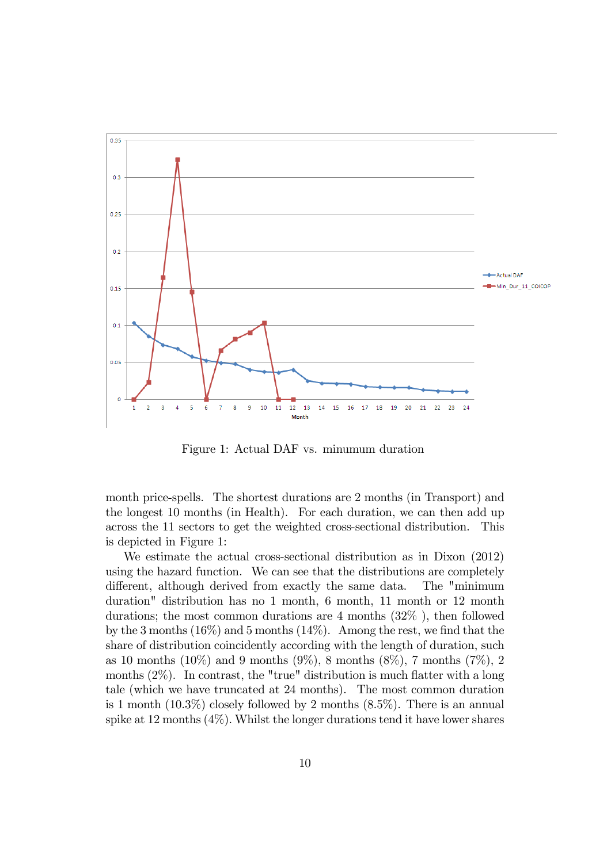

Figure 1: Actual DAF vs. minumum duration

month price-spells. The shortest durations are 2 months (in Transport) and the longest 10 months (in Health). For each duration, we can then add up across the 11 sectors to get the weighted cross-sectional distribution. This is depicted in Figure 1:

We estimate the actual cross-sectional distribution as in Dixon (2012) using the hazard function. We can see that the distributions are completely different, although derived from exactly the same data. The "minimum duration" distribution has no 1 month, 6 month, 11 month or 12 month durations; the most common durations are 4 months (32% ), then followed by the 3 months  $(16\%)$  and 5 months  $(14\%)$ . Among the rest, we find that the share of distribution coincidently according with the length of duration, such as 10 months (10%) and 9 months (9%), 8 months (8%), 7 months (7%), 2 months  $(2\%)$ . In contrast, the "true" distribution is much flatter with a long tale (which we have truncated at 24 months). The most common duration is 1 month  $(10.3\%)$  closely followed by 2 months  $(8.5\%)$ . There is an annual spike at 12 months  $(4\%)$ . Whilst the longer durations tend it have lower shares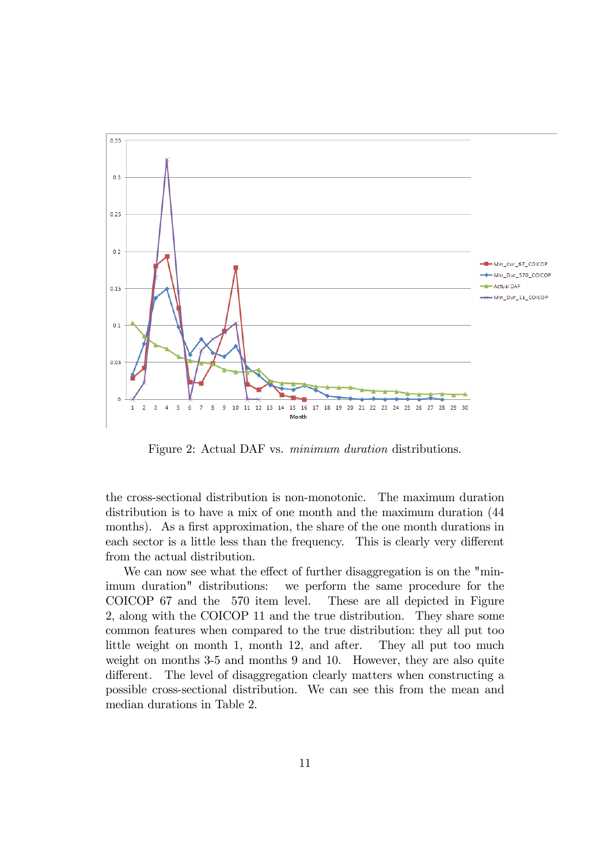

Figure 2: Actual DAF vs. minimum duration distributions.

the cross-sectional distribution is non-monotonic. The maximum duration distribution is to have a mix of one month and the maximum duration (44 months). As a first approximation, the share of the one month durations in each sector is a little less than the frequency. This is clearly very different from the actual distribution.

We can now see what the effect of further disaggregation is on the "minimum duration" distributions: we perform the same procedure for the COICOP 67 and the 570 item level. These are all depicted in Figure 2, along with the COICOP 11 and the true distribution. They share some common features when compared to the true distribution: they all put too little weight on month 1, month 12, and after. They all put too much weight on months 3-5 and months 9 and 10. However, they are also quite different. The level of disaggregation clearly matters when constructing a possible cross-sectional distribution. We can see this from the mean and median durations in Table 2.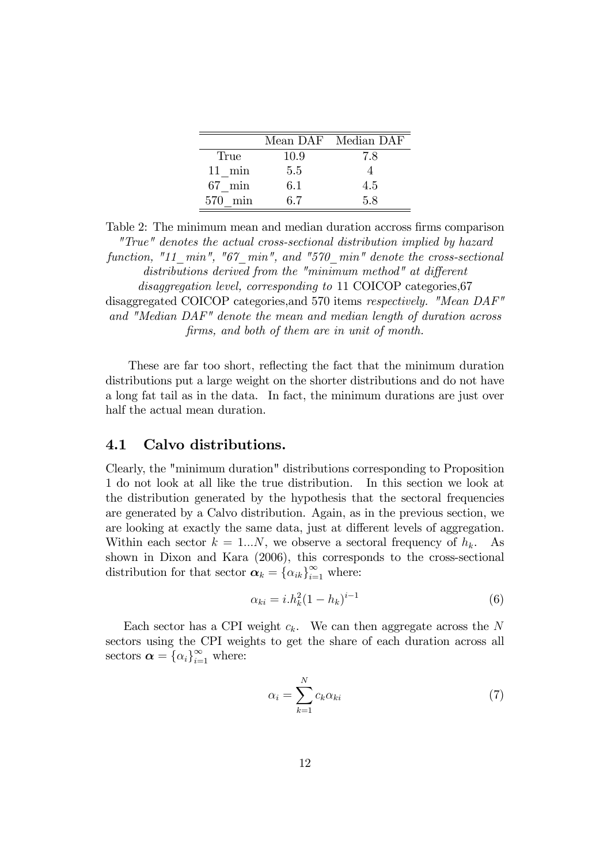|                  |      | Mean DAF Median DAF |
|------------------|------|---------------------|
| True             | 10.9 | 7.8                 |
| $11 \text{ min}$ | 5.5  |                     |
| $67$ min         | 6.1  | 4.5                 |
| min<br>570       | 67   | 58                  |

Table 2: The minimum mean and median duration accross firms comparison "True" denotes the actual cross-sectional distribution implied by hazard function, "11\_min", "67\_min", and "570\_min" denote the cross-sectional distributions derived from the "minimum method" at different disaggregation level, corresponding to 11 COICOP categories, 67 disaggregated COICOP categories,and 570 items respectively. "Mean DAF" and "Median DAF" denote the mean and median length of duration across Örms, and both of them are in unit of month.

These are far too short, reflecting the fact that the minimum duration distributions put a large weight on the shorter distributions and do not have a long fat tail as in the data. In fact, the minimum durations are just over half the actual mean duration.

#### 4.1 Calvo distributions.

Clearly, the "minimum duration" distributions corresponding to Proposition 1 do not look at all like the true distribution. In this section we look at the distribution generated by the hypothesis that the sectoral frequencies are generated by a Calvo distribution. Again, as in the previous section, we are looking at exactly the same data, just at different levels of aggregation. Within each sector  $k = 1...N$ , we observe a sectoral frequency of  $h_k$ . As shown in Dixon and Kara (2006), this corresponds to the cross-sectional distribution for that sector  $\boldsymbol{\alpha}_k = {\alpha_{ik}}_{i=1}^{\infty}$  where:

$$
\alpha_{ki} = i.h_k^2 (1 - h_k)^{i-1}
$$
 (6)

Each sector has a CPI weight  $c_k$ . We can then aggregate across the N sectors using the CPI weights to get the share of each duration across all sectors  $\boldsymbol{\alpha} = \{\alpha_i\}_{i=1}^{\infty}$  where:

$$
\alpha_i = \sum_{k=1}^{N} c_k \alpha_{ki} \tag{7}
$$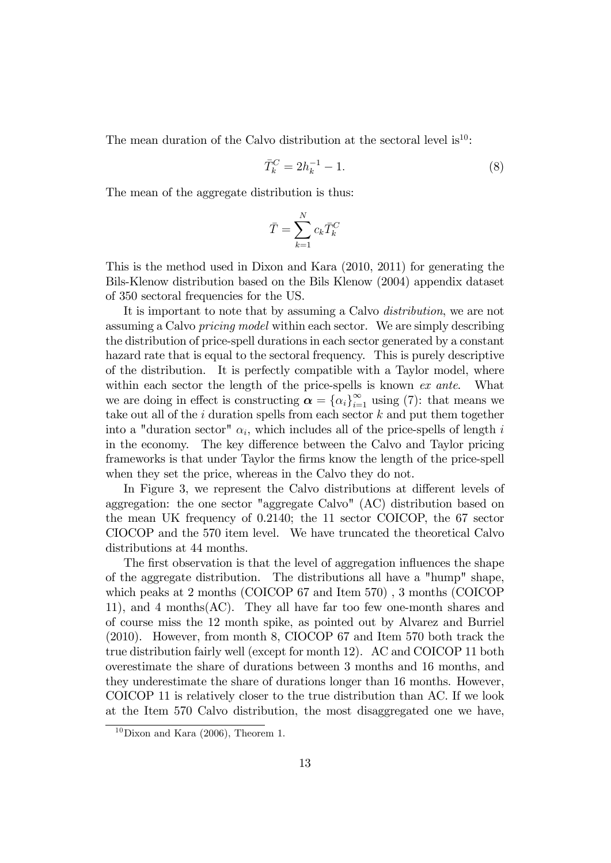The mean duration of the Calvo distribution at the sectoral level is  $10$ :

$$
\bar{T}_k^C = 2h_k^{-1} - 1.
$$
\n(8)

The mean of the aggregate distribution is thus:

$$
\bar{T} = \sum_{k=1}^{N} c_k \bar{T}_k^C
$$

This is the method used in Dixon and Kara (2010, 2011) for generating the Bils-Klenow distribution based on the Bils Klenow (2004) appendix dataset of 350 sectoral frequencies for the US.

It is important to note that by assuming a Calvo distribution, we are not assuming a Calvo pricing model within each sector. We are simply describing the distribution of price-spell durations in each sector generated by a constant hazard rate that is equal to the sectoral frequency. This is purely descriptive of the distribution. It is perfectly compatible with a Taylor model, where within each sector the length of the price-spells is known ex ante. What we are doing in effect is constructing  $\alpha = {\alpha_i}_{i=1}^{\infty}$  using (7): that means we take out all of the  $i$  duration spells from each sector  $k$  and put them together into a "duration sector"  $\alpha_i$ , which includes all of the price-spells of length i in the economy. The key difference between the Calvo and Taylor pricing frameworks is that under Taylor the Örms know the length of the price-spell when they set the price, whereas in the Calvo they do not.

In Figure 3, we represent the Calvo distributions at different levels of aggregation: the one sector "aggregate Calvo" (AC) distribution based on the mean UK frequency of 0.2140; the 11 sector COICOP, the 67 sector CIOCOP and the 570 item level. We have truncated the theoretical Calvo distributions at 44 months.

The first observation is that the level of aggregation influences the shape of the aggregate distribution. The distributions all have a "hump" shape, which peaks at 2 months (COICOP 67 and Item 570) , 3 months (COICOP 11), and 4 months(AC). They all have far too few one-month shares and of course miss the 12 month spike, as pointed out by Alvarez and Burriel (2010). However, from month 8, CIOCOP 67 and Item 570 both track the true distribution fairly well (except for month 12). AC and COICOP 11 both overestimate the share of durations between 3 months and 16 months, and they underestimate the share of durations longer than 16 months. However, COICOP 11 is relatively closer to the true distribution than AC. If we look at the Item 570 Calvo distribution, the most disaggregated one we have,

 $10$ Dixon and Kara (2006), Theorem 1.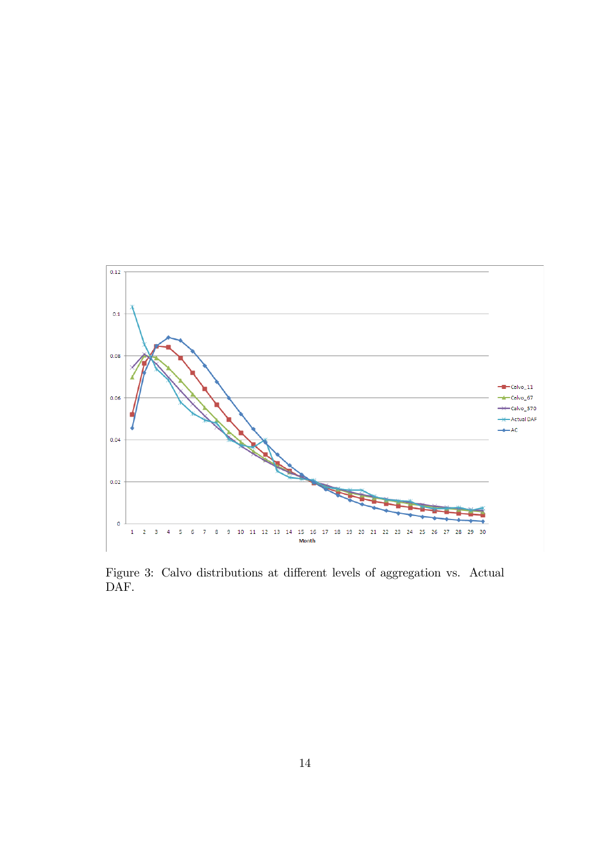

Figure 3: Calvo distributions at different levels of aggregation vs. Actual DAF.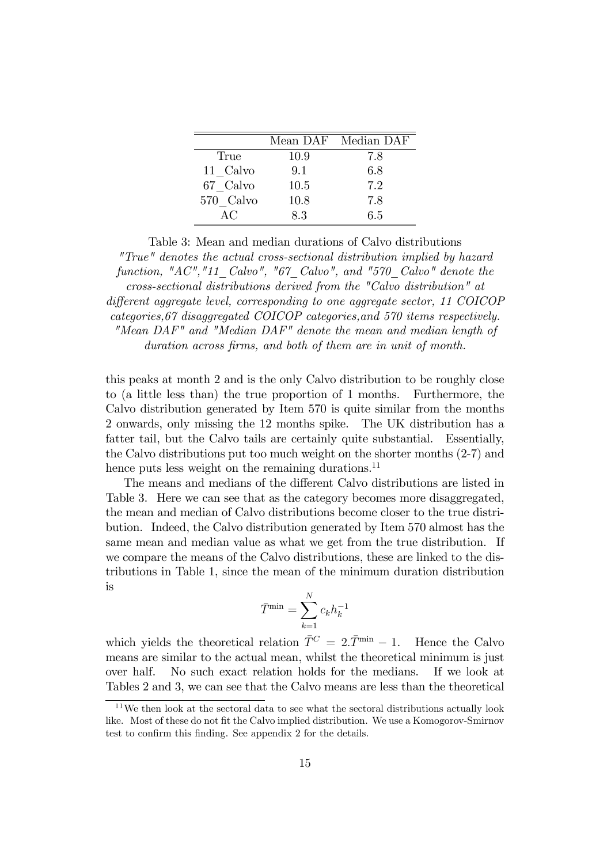|           |      | Mean DAF Median DAF |
|-----------|------|---------------------|
| True      | 10.9 | 7.8                 |
| 11 Calvo  | 9.1  | 6.8                 |
| 67 Calvo  | 10.5 | 7.2                 |
| 570 Calvo | 10.8 | 7.8                 |
| AC        | 8.3  | 6.5                 |

Table 3: Mean and median durations of Calvo distributions "True" denotes the actual cross-sectional distribution implied by hazard function, "AC", "11\_Calvo", "67\_Calvo", and "570\_Calvo" denote the cross-sectional distributions derived from the "Calvo distribution" at different aggregate level, corresponding to one aggregate sector, 11 COICOP categories,67 disaggregated COICOP categories,and 570 items respectively. "Mean DAF" and "Median DAF" denote the mean and median length of duration across firms, and both of them are in unit of month.

this peaks at month 2 and is the only Calvo distribution to be roughly close to (a little less than) the true proportion of 1 months. Furthermore, the Calvo distribution generated by Item 570 is quite similar from the months 2 onwards, only missing the 12 months spike. The UK distribution has a fatter tail, but the Calvo tails are certainly quite substantial. Essentially, the Calvo distributions put too much weight on the shorter months (2-7) and hence puts less weight on the remaining durations.<sup>11</sup>

The means and medians of the different Calvo distributions are listed in Table 3. Here we can see that as the category becomes more disaggregated, the mean and median of Calvo distributions become closer to the true distribution. Indeed, the Calvo distribution generated by Item 570 almost has the same mean and median value as what we get from the true distribution. If we compare the means of the Calvo distributions, these are linked to the distributions in Table 1, since the mean of the minimum duration distribution is

$$
\bar{T}^{\min} = \sum_{k=1}^{N} c_k h_k^{-1}
$$

which yields the theoretical relation  $\overline{T}^C = 2 \cdot \overline{T}^{min} - 1$ . Hence the Calvo means are similar to the actual mean, whilst the theoretical minimum is just over half. No such exact relation holds for the medians. If we look at Tables 2 and 3, we can see that the Calvo means are less than the theoretical

 $^{11}\mathrm{We}$  then look at the sectoral data to see what the sectoral distributions actually look like. Most of these do not fit the Calvo implied distribution. We use a Komogorov-Smirnov test to confirm this finding. See appendix 2 for the details.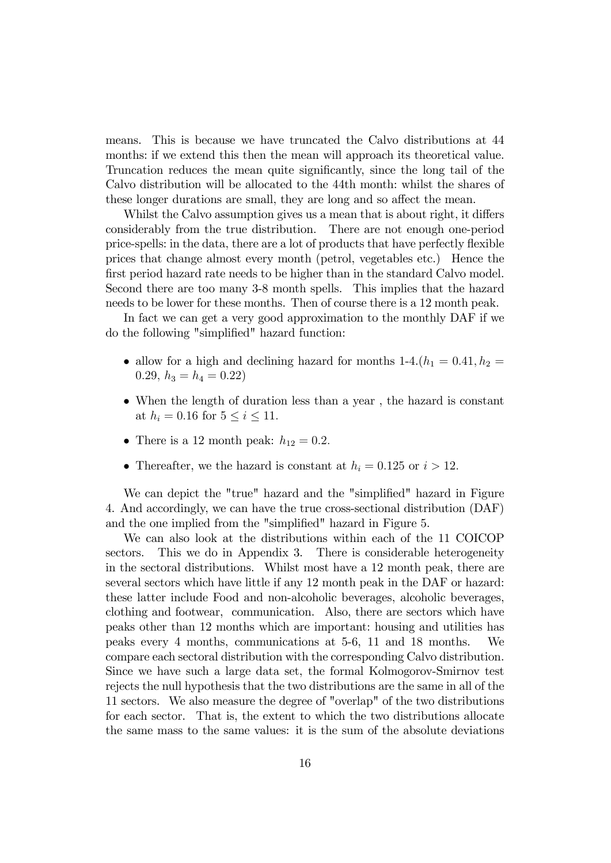means. This is because we have truncated the Calvo distributions at 44 months: if we extend this then the mean will approach its theoretical value. Truncation reduces the mean quite significantly, since the long tail of the Calvo distribution will be allocated to the 44th month: whilst the shares of these longer durations are small, they are long and so affect the mean.

Whilst the Calvo assumption gives us a mean that is about right, it differs considerably from the true distribution. There are not enough one-period price-spells: in the data, there are a lot of products that have perfectly flexible prices that change almost every month (petrol, vegetables etc.) Hence the first period hazard rate needs to be higher than in the standard Calvo model. Second there are too many 3-8 month spells. This implies that the hazard needs to be lower for these months. Then of course there is a 12 month peak.

In fact we can get a very good approximation to the monthly DAF if we do the following "simplified" hazard function:

- allow for a high and declining hazard for months  $1-4.(h_1 = 0.41, h_2 =$ 0.29,  $h_3 = h_4 = 0.22$
- When the length of duration less than a year , the hazard is constant at  $h_i = 0.16$  for  $5 \le i \le 11$ .
- There is a 12 month peak:  $h_{12} = 0.2$ .
- Thereafter, we the hazard is constant at  $h_i = 0.125$  or  $i > 12$ .

We can depict the "true" hazard and the "simplified" hazard in Figure 4. And accordingly, we can have the true cross-sectional distribution (DAF) and the one implied from the "simplified" hazard in Figure 5.

We can also look at the distributions within each of the 11 COICOP sectors. This we do in Appendix 3. There is considerable heterogeneity in the sectoral distributions. Whilst most have a 12 month peak, there are several sectors which have little if any 12 month peak in the DAF or hazard: these latter include Food and non-alcoholic beverages, alcoholic beverages, clothing and footwear, communication. Also, there are sectors which have peaks other than 12 months which are important: housing and utilities has peaks every 4 months, communications at 5-6, 11 and 18 months. We compare each sectoral distribution with the corresponding Calvo distribution. Since we have such a large data set, the formal Kolmogorov-Smirnov test rejects the null hypothesis that the two distributions are the same in all of the 11 sectors. We also measure the degree of "overlap" of the two distributions for each sector. That is, the extent to which the two distributions allocate the same mass to the same values: it is the sum of the absolute deviations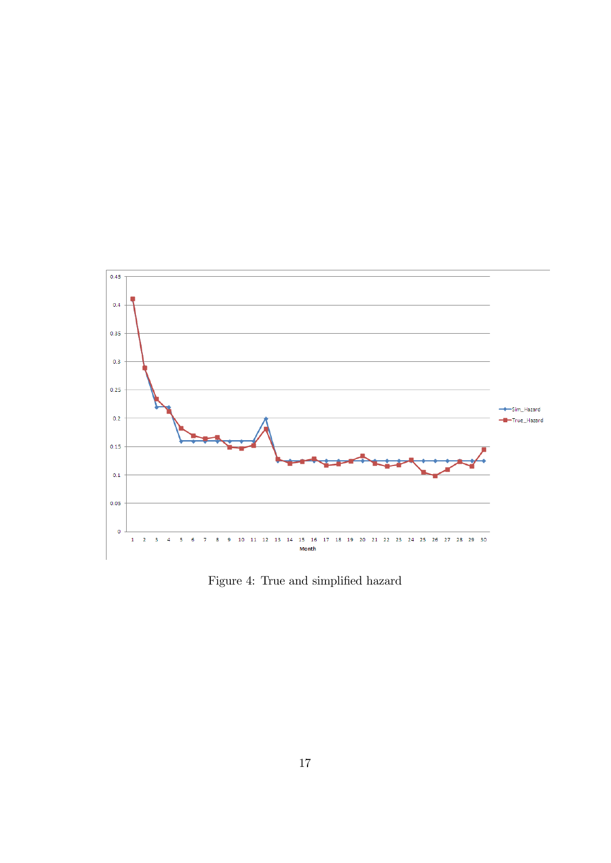

Figure 4: True and simplified hazard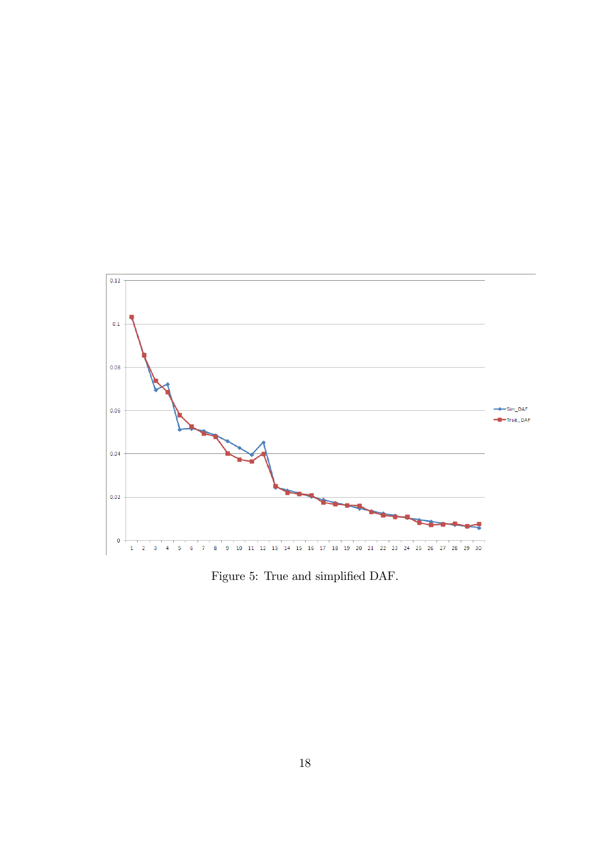

Figure 5: True and simplified DAF.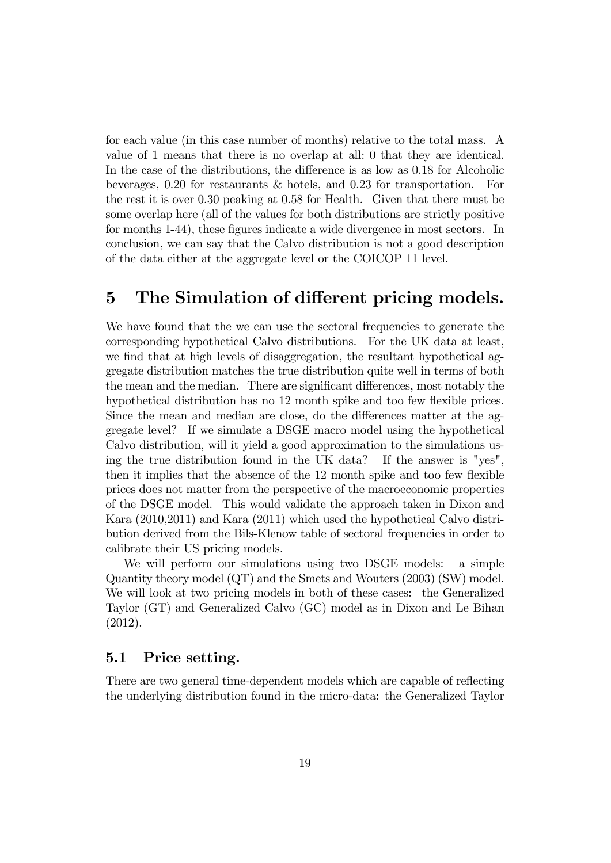for each value (in this case number of months) relative to the total mass. A value of 1 means that there is no overlap at all: 0 that they are identical. In the case of the distributions, the difference is as low as 0.18 for Alcoholic beverages, 0.20 for restaurants & hotels, and 0.23 for transportation. For the rest it is over 0.30 peaking at 0.58 for Health. Given that there must be some overlap here (all of the values for both distributions are strictly positive for months 1-44), these figures indicate a wide divergence in most sectors. In conclusion, we can say that the Calvo distribution is not a good description of the data either at the aggregate level or the COICOP 11 level.

## 5 The Simulation of different pricing models.

We have found that the we can use the sectoral frequencies to generate the corresponding hypothetical Calvo distributions. For the UK data at least, we find that at high levels of disaggregation, the resultant hypothetical aggregate distribution matches the true distribution quite well in terms of both the mean and the median. There are significant differences, most notably the hypothetical distribution has no 12 month spike and too few flexible prices. Since the mean and median are close, do the differences matter at the aggregate level? If we simulate a DSGE macro model using the hypothetical Calvo distribution, will it yield a good approximation to the simulations using the true distribution found in the UK data? If the answer is "yes", then it implies that the absence of the 12 month spike and too few flexible prices does not matter from the perspective of the macroeconomic properties of the DSGE model. This would validate the approach taken in Dixon and Kara (2010,2011) and Kara (2011) which used the hypothetical Calvo distribution derived from the Bils-Klenow table of sectoral frequencies in order to calibrate their US pricing models.

We will perform our simulations using two DSGE models: a simple Quantity theory model (QT) and the Smets and Wouters (2003) (SW) model. We will look at two pricing models in both of these cases: the Generalized Taylor (GT) and Generalized Calvo (GC) model as in Dixon and Le Bihan (2012).

#### 5.1 Price setting.

There are two general time-dependent models which are capable of reflecting the underlying distribution found in the micro-data: the Generalized Taylor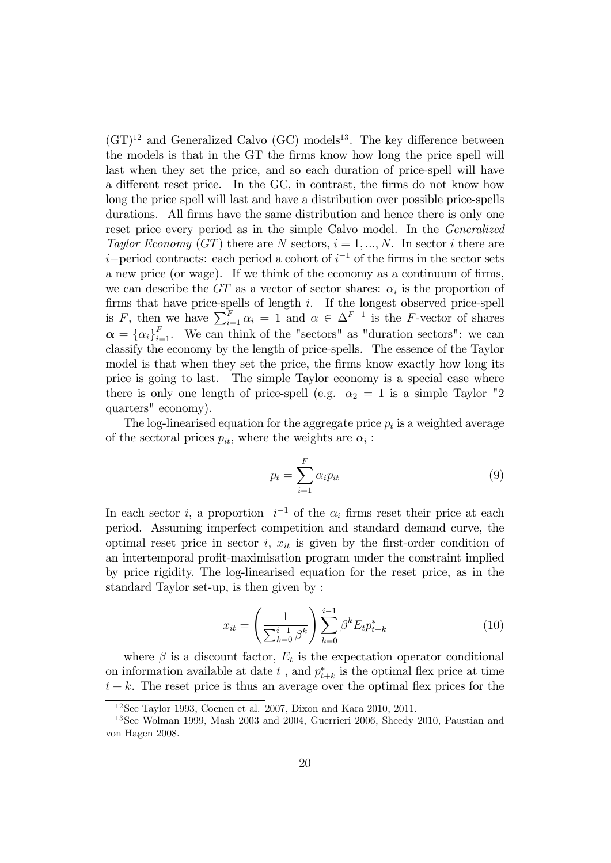$(GT)^{12}$  and Generalized Calvo  $(GC)$  models<sup>13</sup>. The key difference between the models is that in the GT the firms know how long the price spell will last when they set the price, and so each duration of price-spell will have a different reset price. In the GC, in contrast, the firms do not know how long the price spell will last and have a distribution over possible price-spells durations. All firms have the same distribution and hence there is only one reset price every period as in the simple Calvo model. In the Generalized Taylor Economy (GT) there are N sectors,  $i = 1, ..., N$ . In sector i there are  $i$ -period contracts: each period a cohort of  $i^{-1}$  of the firms in the sector sets a new price (or wage). If we think of the economy as a continuum of firms, we can describe the  $GT$  as a vector of sector shares:  $\alpha_i$  is the proportion of firms that have price-spells of length  $i$ . If the longest observed price-spell is F, then we have  $\sum_{i=1}^{F} \alpha_i = 1$  and  $\alpha \in \Delta^{F-1}$  is the F-vector of shares  $\boldsymbol{\alpha} = {\{\alpha_i\}}_{i=1}^F$ . We can think of the "sectors" as "duration sectors": we can classify the economy by the length of price-spells. The essence of the Taylor model is that when they set the price, the firms know exactly how long its price is going to last. The simple Taylor economy is a special case where there is only one length of price-spell (e.g.  $\alpha_2 = 1$  is a simple Taylor "2 quarters" economy).

The log-linearised equation for the aggregate price  $p_t$  is a weighted average of the sectoral prices  $p_{it}$ , where the weights are  $\alpha_i$ :

$$
p_t = \sum_{i=1}^{F} \alpha_i p_{it} \tag{9}
$$

In each sector *i*, a proportion  $i^{-1}$  of the  $\alpha_i$  firms reset their price at each period. Assuming imperfect competition and standard demand curve, the optimal reset price in sector i,  $x_{it}$  is given by the first-order condition of an intertemporal profit-maximisation program under the constraint implied by price rigidity. The log-linearised equation for the reset price, as in the standard Taylor set-up, is then given by :

$$
x_{it} = \left(\frac{1}{\sum_{k=0}^{i-1} \beta^k}\right) \sum_{k=0}^{i-1} \beta^k E_t p_{t+k}^* \tag{10}
$$

where  $\beta$  is a discount factor,  $E_t$  is the expectation operator conditional on information available at date  $t$ , and  $p_{t+k}^*$  is the optimal flex price at time  $t + k$ . The reset price is thus an average over the optimal flex prices for the

<sup>12</sup>See Taylor 1993, Coenen et al. 2007, Dixon and Kara 2010, 2011.

<sup>13</sup>See Wolman 1999, Mash 2003 and 2004, Guerrieri 2006, Sheedy 2010, Paustian and von Hagen 2008.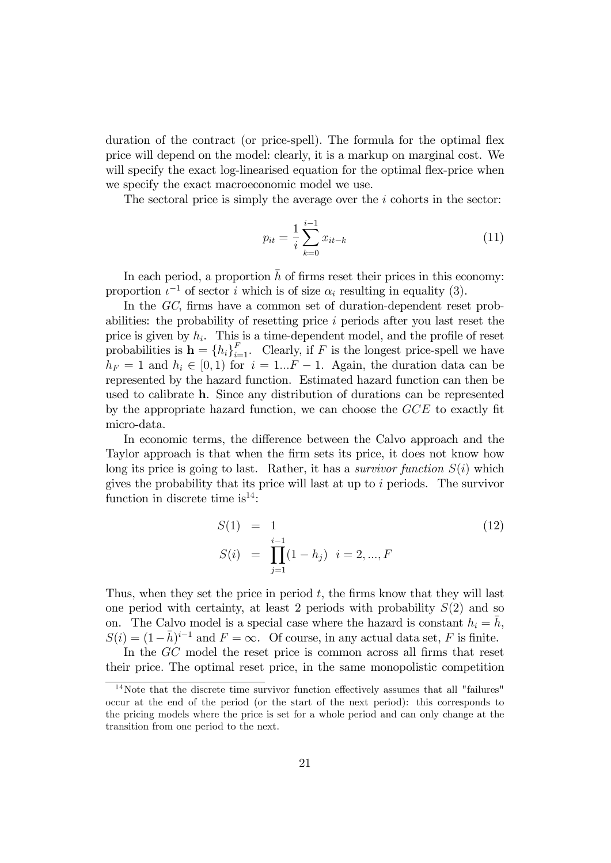duration of the contract (or price-spell). The formula for the optimal flex price will depend on the model: clearly, it is a markup on marginal cost. We will specify the exact log-linearised equation for the optimal flex-price when we specify the exact macroeconomic model we use.

The sectoral price is simply the average over the  $i$  cohorts in the sector:

$$
p_{it} = \frac{1}{i} \sum_{k=0}^{i-1} x_{it-k}
$$
 (11)

In each period, a proportion  $\bar{h}$  of firms reset their prices in this economy: proportion  $\iota^{-1}$  of sector i which is of size  $\alpha_i$  resulting in equality (3).

In the GC, firms have a common set of duration-dependent reset probabilities: the probability of resetting price i periods after you last reset the price is given by  $h_i$ . This is a time-dependent model, and the profile of reset probabilities is  $\mathbf{h} = \{h_i\}_{i=1}^F$ . Clearly, if F is the longest price-spell we have  $h_F = 1$  and  $h_i \in [0, 1)$  for  $i = 1...F - 1$ . Again, the duration data can be represented by the hazard function. Estimated hazard function can then be used to calibrate h. Since any distribution of durations can be represented by the appropriate hazard function, we can choose the  $GCE$  to exactly fit micro-data.

In economic terms, the difference between the Calvo approach and the Taylor approach is that when the Örm sets its price, it does not know how long its price is going to last. Rather, it has a *survivor function*  $S(i)$  which gives the probability that its price will last at up to  $i$  periods. The survivor function in discrete time is<sup>14</sup>:

$$
S(1) = 1
$$
  
\n
$$
S(i) = \prod_{j=1}^{i-1} (1 - h_j) \quad i = 2, ..., F
$$
\n(12)

Thus, when they set the price in period  $t$ , the firms know that they will last one period with certainty, at least 2 periods with probability  $S(2)$  and so on. The Calvo model is a special case where the hazard is constant  $h_i = \overline{h}$ ,  $S(i) = (1 - \bar{h})^{i-1}$  and  $F = \infty$ . Of course, in any actual data set, F is finite.

In the GC model the reset price is common across all firms that reset their price. The optimal reset price, in the same monopolistic competition

 $14$ Note that the discrete time survivor function effectively assumes that all "failures" occur at the end of the period (or the start of the next period): this corresponds to the pricing models where the price is set for a whole period and can only change at the transition from one period to the next.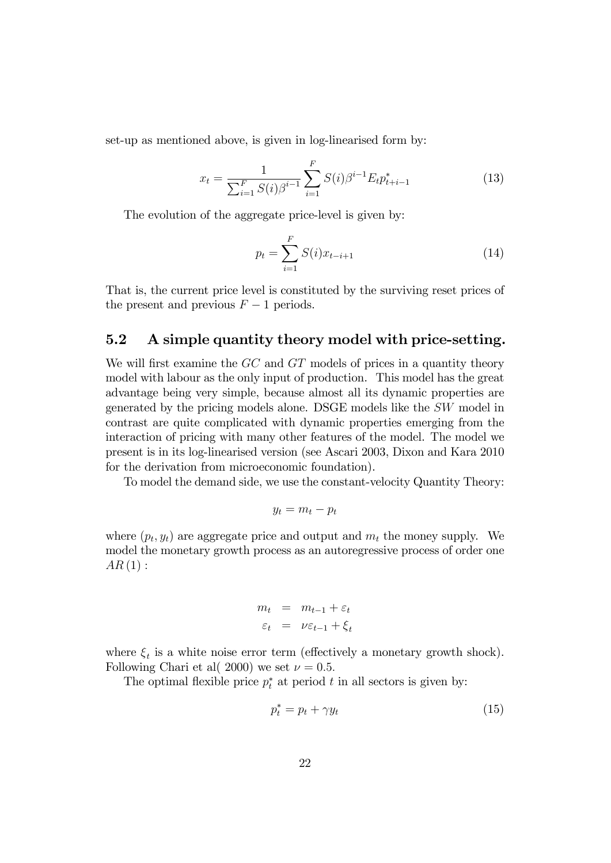set-up as mentioned above, is given in log-linearised form by:

$$
x_t = \frac{1}{\sum_{i=1}^F S(i)\beta^{i-1}} \sum_{i=1}^F S(i)\beta^{i-1} E_t p_{t+i-1}^*
$$
(13)

The evolution of the aggregate price-level is given by:

$$
p_t = \sum_{i=1}^{F} S(i)x_{t-i+1}
$$
 (14)

That is, the current price level is constituted by the surviving reset prices of the present and previous  $F-1$  periods.

#### 5.2 A simple quantity theory model with price-setting.

We will first examine the  $GC$  and  $GT$  models of prices in a quantity theory model with labour as the only input of production. This model has the great advantage being very simple, because almost all its dynamic properties are generated by the pricing models alone. DSGE models like the SW model in contrast are quite complicated with dynamic properties emerging from the interaction of pricing with many other features of the model. The model we present is in its log-linearised version (see Ascari 2003, Dixon and Kara 2010 for the derivation from microeconomic foundation).

To model the demand side, we use the constant-velocity Quantity Theory:

$$
y_t = m_t - p_t
$$

where  $(p_t, y_t)$  are aggregate price and output and  $m_t$  the money supply. We model the monetary growth process as an autoregressive process of order one  $AR(1):$ 

$$
m_t = m_{t-1} + \varepsilon_t
$$
  

$$
\varepsilon_t = \nu \varepsilon_{t-1} + \xi_t
$$

where  $\xi_t$  is a white noise error term (effectively a monetary growth shock). Following Chari et al( 2000) we set  $\nu = 0.5$ .

The optimal flexible price  $p_t^*$  at period t in all sectors is given by:

$$
p_t^* = p_t + \gamma y_t \tag{15}
$$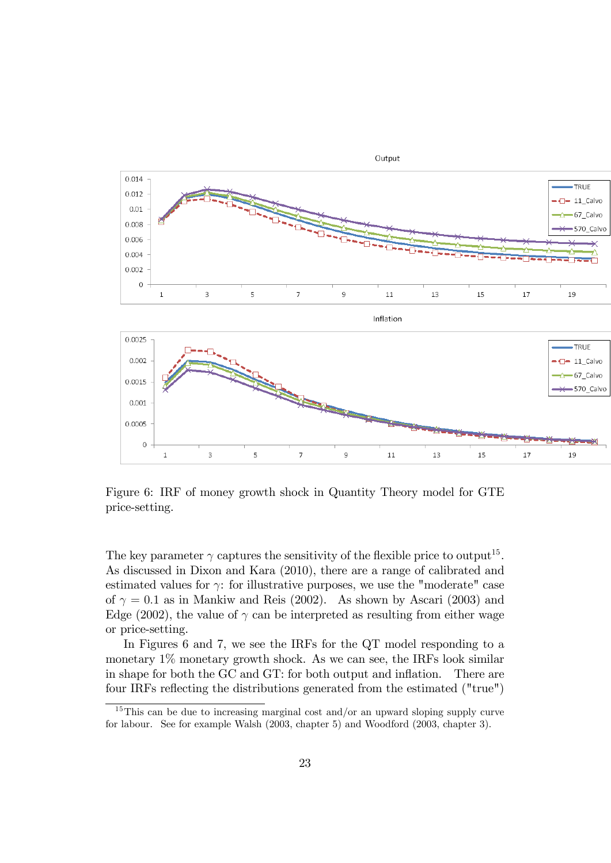

Figure 6: IRF of money growth shock in Quantity Theory model for GTE price-setting.

The key parameter  $\gamma$  captures the sensitivity of the flexible price to output<sup>15</sup>. As discussed in Dixon and Kara (2010), there are a range of calibrated and estimated values for  $\gamma$ : for illustrative purposes, we use the "moderate" case of  $\gamma = 0.1$  as in Mankiw and Reis (2002). As shown by Ascari (2003) and Edge (2002), the value of  $\gamma$  can be interpreted as resulting from either wage or price-setting.

In Figures 6 and 7, we see the IRFs for the QT model responding to a monetary 1% monetary growth shock. As we can see, the IRFs look similar in shape for both the GC and GT: for both output and inflation. There are four IRFs reflecting the distributions generated from the estimated ("true")

<sup>&</sup>lt;sup>15</sup>This can be due to increasing marginal cost and/or an upward sloping supply curve for labour. See for example Walsh (2003, chapter 5) and Woodford (2003, chapter 3).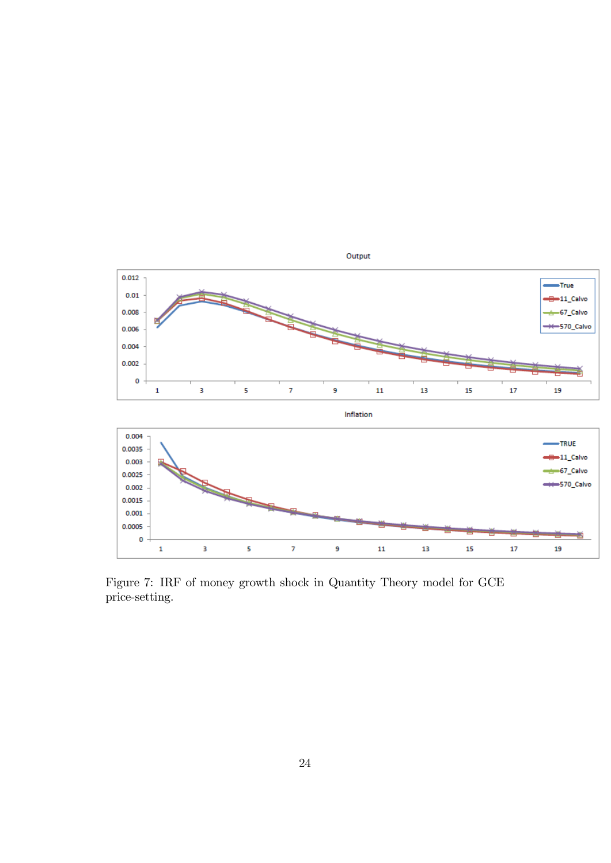

Figure 7: IRF of money growth shock in Quantity Theory model for GCE price-setting.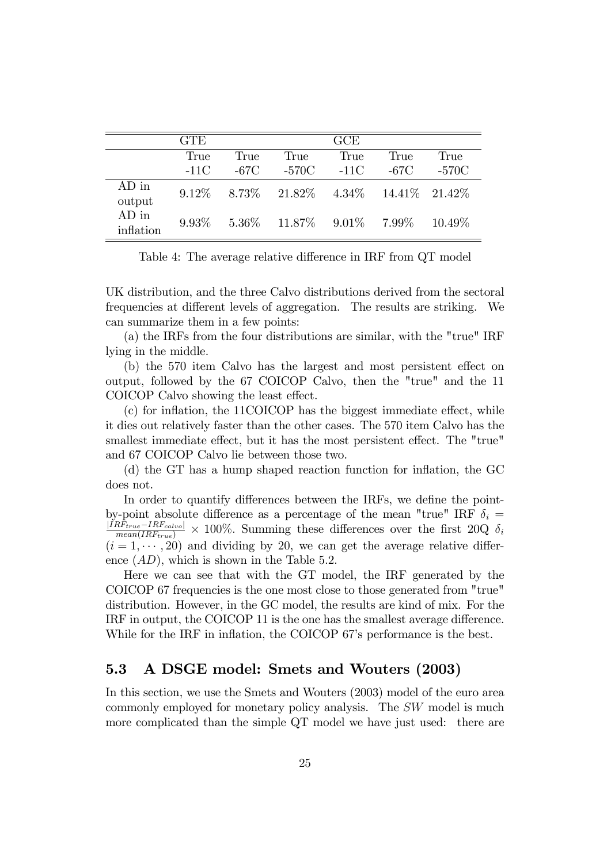|                      | <b>GTE</b> |      |                                                          | <b>GCE</b> |      |           |
|----------------------|------------|------|----------------------------------------------------------|------------|------|-----------|
|                      | True       | True | True                                                     | True       | True | True      |
|                      | $-11C$     | -67C | -570C                                                    | $-11C$     | -67C | -570C     |
| $AD$ in<br>output    |            |      | $9.12\%$ $8.73\%$ $21.82\%$ $4.34\%$ $14.41\%$ $21.42\%$ |            |      |           |
| $AD$ in<br>inflation |            |      | $9.93\%$ $5.36\%$ $11.87\%$ $9.01\%$ $7.99\%$            |            |      | $10.49\%$ |

Table 4: The average relative difference in IRF from QT model

UK distribution, and the three Calvo distributions derived from the sectoral frequencies at different levels of aggregation. The results are striking. We can summarize them in a few points:

(a) the IRFs from the four distributions are similar, with the "true" IRF lying in the middle.

 $(b)$  the 570 item Calvo has the largest and most persistent effect on output, followed by the 67 COICOP Calvo, then the "true" and the 11 COICOP Calvo showing the least effect.

 $(c)$  for inflation, the 11COICOP has the biggest immediate effect, while it dies out relatively faster than the other cases. The 570 item Calvo has the smallest immediate effect, but it has the most persistent effect. The "true" and 67 COICOP Calvo lie between those two.

(d) the GT has a hump shaped reaction function for inflation, the GC does not.

In order to quantify differences between the IRFs, we define the pointby-point absolute difference as a percentage of the mean "true" IRF  $\delta_i$  =  $\frac{|IRF_{true} - IRF_{calvo}|}{mean(IRF_{true})} \times 100\%$ . Summing these differences over the first 20Q  $\delta_i$  $(i = 1, \dots, 20)$  and dividing by 20, we can get the average relative difference  $(AD)$ , which is shown in the Table 5.2.

Here we can see that with the GT model, the IRF generated by the COICOP 67 frequencies is the one most close to those generated from "true" distribution. However, in the GC model, the results are kind of mix. For the IRF in output, the COICOP 11 is the one has the smallest average difference. While for the IRF in inflation, the COICOP 67's performance is the best.

#### 5.3 A DSGE model: Smets and Wouters (2003)

In this section, we use the Smets and Wouters (2003) model of the euro area commonly employed for monetary policy analysis. The SW model is much more complicated than the simple QT model we have just used: there are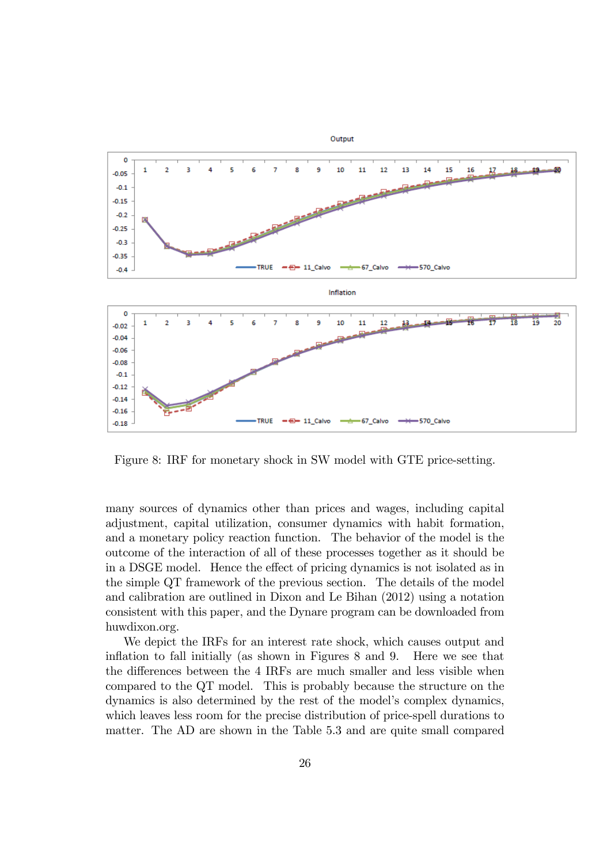

Figure 8: IRF for monetary shock in SW model with GTE price-setting.

many sources of dynamics other than prices and wages, including capital adjustment, capital utilization, consumer dynamics with habit formation, and a monetary policy reaction function. The behavior of the model is the outcome of the interaction of all of these processes together as it should be in a DSGE model. Hence the effect of pricing dynamics is not isolated as in the simple QT framework of the previous section. The details of the model and calibration are outlined in Dixon and Le Bihan (2012) using a notation consistent with this paper, and the Dynare program can be downloaded from huwdixon.org.

We depict the IRFs for an interest rate shock, which causes output and inflation to fall initially (as shown in Figures  $8$  and  $9$ . Here we see that the differences between the 4 IRFs are much smaller and less visible when compared to the QT model. This is probably because the structure on the dynamics is also determined by the rest of the model's complex dynamics, which leaves less room for the precise distribution of price-spell durations to matter. The AD are shown in the Table 5.3 and are quite small compared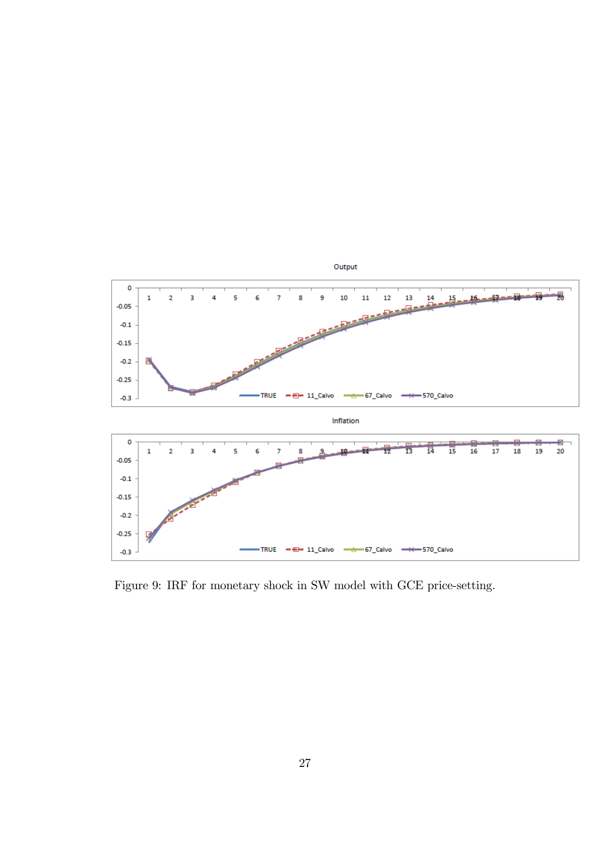

Figure 9: IRF for monetary shock in SW model with GCE price-setting.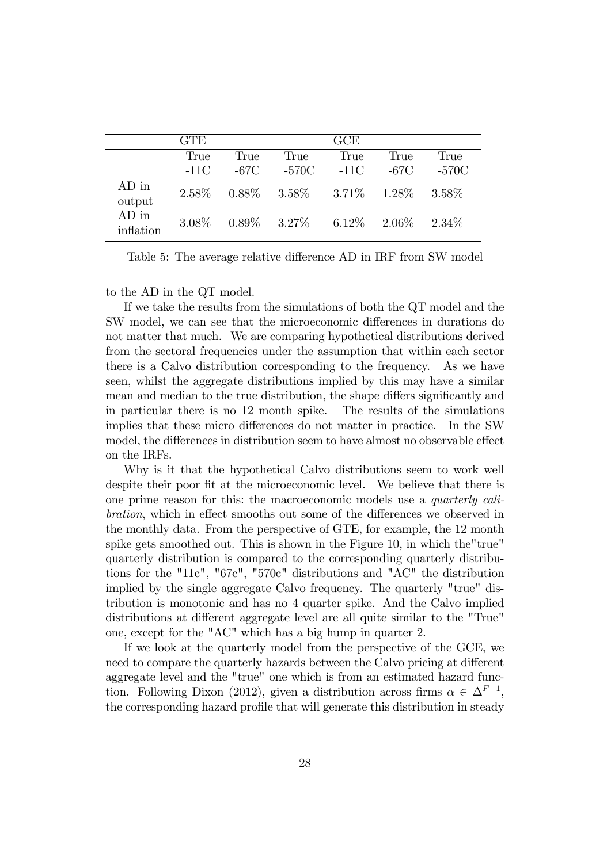|                      | <b>GTE</b> |      |                                              | GCE    |          |          |
|----------------------|------------|------|----------------------------------------------|--------|----------|----------|
|                      | True       | True | True                                         | True   | True     | True     |
|                      | $-11C$     | -67C | $-570C$                                      | $-11C$ | -67C     | -570C    |
| $AD$ in<br>output    |            |      | $2.58\%$ $0.88\%$ $3.58\%$ $3.71\%$ $1.28\%$ |        |          | 3.58\%   |
| $AD$ in<br>inflation |            |      | $3.08\%$ $0.89\%$ $3.27\%$ $6.12\%$          |        | $2.06\%$ | $2.34\%$ |

Table 5: The average relative difference AD in IRF from SW model

to the AD in the QT model.

If we take the results from the simulations of both the QT model and the SW model, we can see that the microeconomic differences in durations do not matter that much. We are comparing hypothetical distributions derived from the sectoral frequencies under the assumption that within each sector there is a Calvo distribution corresponding to the frequency. As we have seen, whilst the aggregate distributions implied by this may have a similar mean and median to the true distribution, the shape differs significantly and in particular there is no 12 month spike. The results of the simulations implies that these micro differences do not matter in practice. In the SW model, the differences in distribution seem to have almost no observable effect on the IRFs.

Why is it that the hypothetical Calvo distributions seem to work well despite their poor fit at the microeconomic level. We believe that there is one prime reason for this: the macroeconomic models use a quarterly calibration, which in effect smooths out some of the differences we observed in the monthly data. From the perspective of GTE, for example, the 12 month spike gets smoothed out. This is shown in the Figure 10, in which the"true" quarterly distribution is compared to the corresponding quarterly distributions for the "11c", "67c", "570c" distributions and "AC" the distribution implied by the single aggregate Calvo frequency. The quarterly "true" distribution is monotonic and has no 4 quarter spike. And the Calvo implied distributions at different aggregate level are all quite similar to the "True" one, except for the "AC" which has a big hump in quarter 2.

If we look at the quarterly model from the perspective of the GCE, we need to compare the quarterly hazards between the Calvo pricing at different aggregate level and the "true" one which is from an estimated hazard function. Following Dixon (2012), given a distribution across firms  $\alpha \in \Delta^{F-1}$ , the corresponding hazard profile that will generate this distribution in steady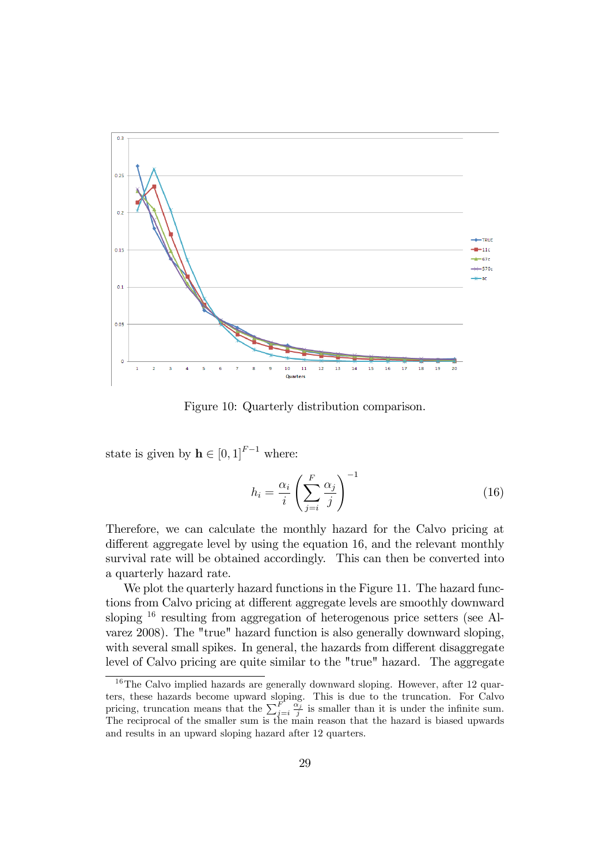

Figure 10: Quarterly distribution comparison.

state is given by  $\mathbf{h} \in [0, 1]^{F-1}$  where:

$$
h_i = \frac{\alpha_i}{i} \left( \sum_{j=i}^{F} \frac{\alpha_j}{j} \right)^{-1}
$$
 (16)

Therefore, we can calculate the monthly hazard for the Calvo pricing at different aggregate level by using the equation 16, and the relevant monthly survival rate will be obtained accordingly. This can then be converted into a quarterly hazard rate.

We plot the quarterly hazard functions in the Figure 11. The hazard functions from Calvo pricing at different aggregate levels are smoothly downward sloping <sup>16</sup> resulting from aggregation of heterogenous price setters (see Alvarez 2008). The "true" hazard function is also generally downward sloping, with several small spikes. In general, the hazards from different disaggregate level of Calvo pricing are quite similar to the "true" hazard. The aggregate

<sup>&</sup>lt;sup>16</sup>The Calvo implied hazards are generally downward sloping. However, after 12 quarters, these hazards become upward sloping. This is due to the truncation. For Calvo pricing, truncation means that the  $\sum_{j=i}^{F} \frac{\alpha_j^2}{j}$  is smaller than it is under the infinite sum. The reciprocal of the smaller sum is the main reason that the hazard is biased upwards and results in an upward sloping hazard after 12 quarters.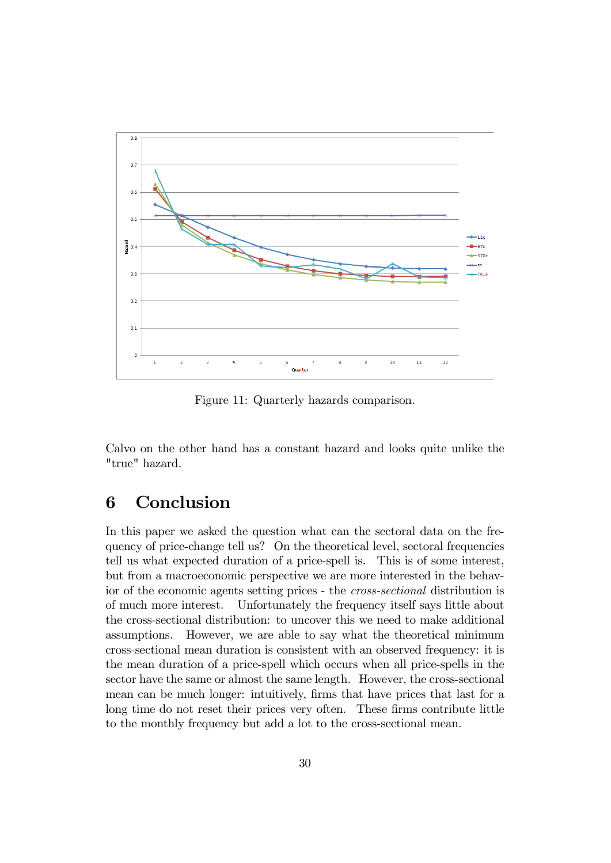

Figure 11: Quarterly hazards comparison.

Calvo on the other hand has a constant hazard and looks quite unlike the "true" hazard.

# 6 Conclusion

In this paper we asked the question what can the sectoral data on the frequency of price-change tell us? On the theoretical level, sectoral frequencies tell us what expected duration of a price-spell is. This is of some interest, but from a macroeconomic perspective we are more interested in the behavior of the economic agents setting prices - the cross-sectional distribution is of much more interest. Unfortunately the frequency itself says little about the cross-sectional distribution: to uncover this we need to make additional assumptions. However, we are able to say what the theoretical minimum cross-sectional mean duration is consistent with an observed frequency: it is the mean duration of a price-spell which occurs when all price-spells in the sector have the same or almost the same length. However, the cross-sectional mean can be much longer: intuitively, firms that have prices that last for a long time do not reset their prices very often. These firms contribute little to the monthly frequency but add a lot to the cross-sectional mean.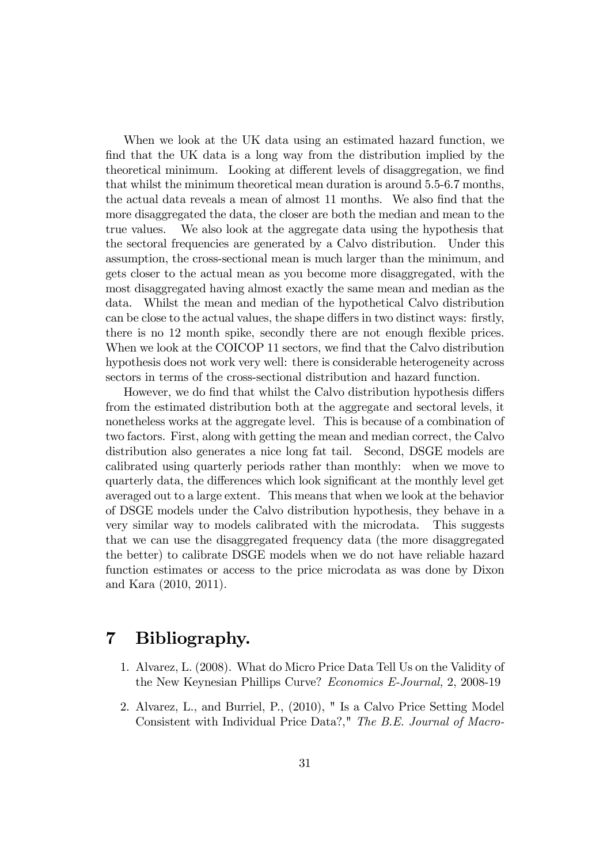When we look at the UK data using an estimated hazard function, we find that the UK data is a long way from the distribution implied by the theoretical minimum. Looking at different levels of disaggregation, we find that whilst the minimum theoretical mean duration is around 5.5-6.7 months, the actual data reveals a mean of almost 11 months. We also find that the more disaggregated the data, the closer are both the median and mean to the true values. We also look at the aggregate data using the hypothesis that the sectoral frequencies are generated by a Calvo distribution. Under this assumption, the cross-sectional mean is much larger than the minimum, and gets closer to the actual mean as you become more disaggregated, with the most disaggregated having almost exactly the same mean and median as the data. Whilst the mean and median of the hypothetical Calvo distribution can be close to the actual values, the shape differs in two distinct ways: firstly, there is no 12 month spike, secondly there are not enough flexible prices. When we look at the COICOP 11 sectors, we find that the Calvo distribution hypothesis does not work very well: there is considerable heterogeneity across sectors in terms of the cross-sectional distribution and hazard function.

However, we do find that whilst the Calvo distribution hypothesis differs from the estimated distribution both at the aggregate and sectoral levels, it nonetheless works at the aggregate level. This is because of a combination of two factors. First, along with getting the mean and median correct, the Calvo distribution also generates a nice long fat tail. Second, DSGE models are calibrated using quarterly periods rather than monthly: when we move to quarterly data, the differences which look significant at the monthly level get averaged out to a large extent. This means that when we look at the behavior of DSGE models under the Calvo distribution hypothesis, they behave in a very similar way to models calibrated with the microdata. This suggests that we can use the disaggregated frequency data (the more disaggregated the better) to calibrate DSGE models when we do not have reliable hazard function estimates or access to the price microdata as was done by Dixon and Kara (2010, 2011).

### 7 Bibliography.

- 1. Alvarez, L. (2008). What do Micro Price Data Tell Us on the Validity of the New Keynesian Phillips Curve? Economics E-Journal, 2, 2008-19
- 2. Alvarez, L., and Burriel, P., (2010), " Is a Calvo Price Setting Model Consistent with Individual Price Data?," The B.E. Journal of Macro-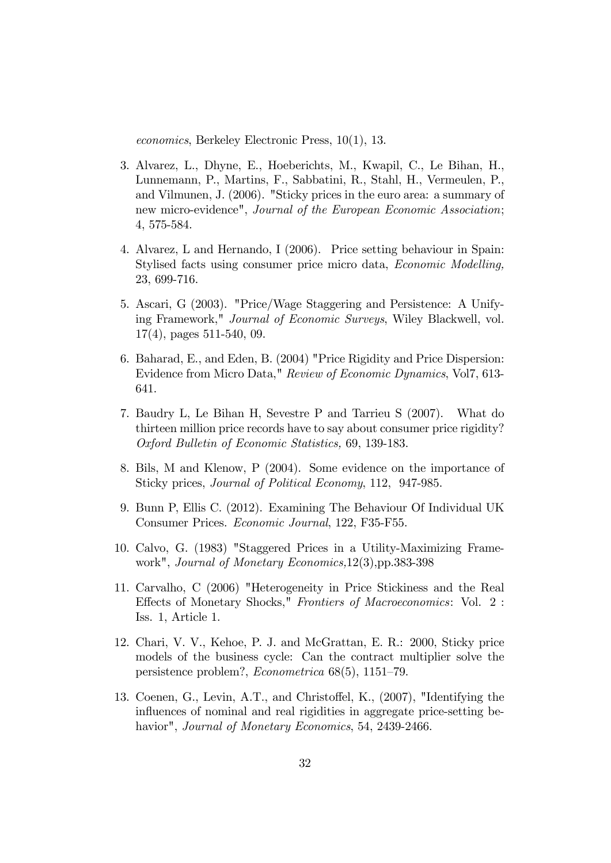economics, Berkeley Electronic Press, 10(1), 13.

- 3. Alvarez, L., Dhyne, E., Hoeberichts, M., Kwapil, C., Le Bihan, H., Lunnemann, P., Martins, F., Sabbatini, R., Stahl, H., Vermeulen, P., and Vilmunen, J. (2006). "Sticky prices in the euro area: a summary of new micro-evidence", Journal of the European Economic Association; 4, 575-584.
- 4. Alvarez, L and Hernando, I (2006). Price setting behaviour in Spain: Stylised facts using consumer price micro data, Economic Modelling, 23, 699-716.
- 5. Ascari, G (2003). "Price/Wage Staggering and Persistence: A Unifying Framework," Journal of Economic Surveys, Wiley Blackwell, vol. 17(4), pages 511-540, 09.
- 6. Baharad, E., and Eden, B. (2004) "Price Rigidity and Price Dispersion: Evidence from Micro Data," Review of Economic Dynamics, Vol7, 613- 641.
- 7. Baudry L, Le Bihan H, Sevestre P and Tarrieu S (2007). What do thirteen million price records have to say about consumer price rigidity? Oxford Bulletin of Economic Statistics, 69, 139-183.
- 8. Bils, M and Klenow, P (2004). Some evidence on the importance of Sticky prices, Journal of Political Economy, 112, 947-985.
- 9. Bunn P, Ellis C. (2012). Examining The Behaviour Of Individual UK Consumer Prices. Economic Journal, 122, F35-F55.
- 10. Calvo, G. (1983) "Staggered Prices in a Utility-Maximizing Framework", Journal of Monetary Economics,12(3),pp.383-398
- 11. Carvalho, C (2006) "Heterogeneity in Price Stickiness and the Real Effects of Monetary Shocks," Frontiers of Macroeconomics: Vol. 2: Iss. 1, Article 1.
- 12. Chari, V. V., Kehoe, P. J. and McGrattan, E. R.: 2000, Sticky price models of the business cycle: Can the contract multiplier solve the persistence problem?,  $Econometrica$  68(5), 1151-79.
- 13. Coenen, G., Levin, A.T., and Christoffel, K., (2007), "Identifying the influences of nominal and real rigidities in aggregate price-setting behavior", *Journal of Monetary Economics*, 54, 2439-2466.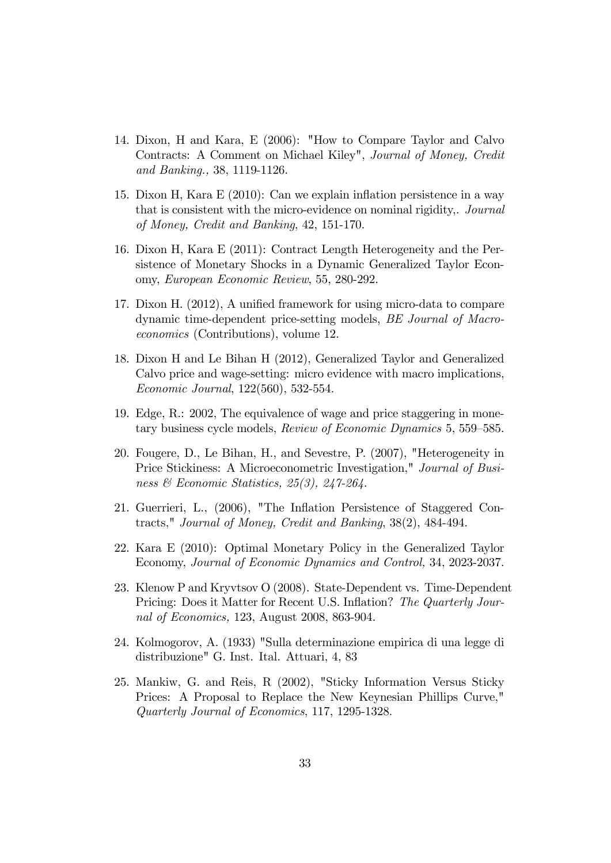- 14. Dixon, H and Kara, E (2006): "How to Compare Taylor and Calvo Contracts: A Comment on Michael Kiley", Journal of Money, Credit and Banking., 38, 1119-1126.
- 15. Dixon H, Kara E (2010): Can we explain inflation persistence in a way that is consistent with the micro-evidence on nominal rigidity,. Journal of Money, Credit and Banking, 42, 151-170.
- 16. Dixon H, Kara E (2011): Contract Length Heterogeneity and the Persistence of Monetary Shocks in a Dynamic Generalized Taylor Economy, European Economic Review, 55, 280-292.
- 17. Dixon H. (2012), A unified framework for using micro-data to compare dynamic time-dependent price-setting models, BE Journal of Macroeconomics (Contributions), volume 12.
- 18. Dixon H and Le Bihan H (2012), Generalized Taylor and Generalized Calvo price and wage-setting: micro evidence with macro implications, Economic Journal, 122(560), 532-554.
- 19. Edge, R.: 2002, The equivalence of wage and price staggering in monetary business cycle models, Review of Economic Dynamics 5, 559–585.
- 20. Fougere, D., Le Bihan, H., and Sevestre, P. (2007), "Heterogeneity in Price Stickiness: A Microeconometric Investigation," Journal of Business & Economic Statistics, 25(3), 247-264.
- 21. Guerrieri, L., (2006), "The Inflation Persistence of Staggered Contracts," Journal of Money, Credit and Banking, 38(2), 484-494.
- 22. Kara E (2010): Optimal Monetary Policy in the Generalized Taylor Economy, Journal of Economic Dynamics and Control, 34, 2023-2037.
- 23. Klenow P and Kryvtsov O (2008). State-Dependent vs. Time-Dependent Pricing: Does it Matter for Recent U.S. Inflation? The Quarterly Journal of Economics, 123, August 2008, 863-904.
- 24. Kolmogorov, A. (1933) "Sulla determinazione empirica di una legge di distribuzione" G. Inst. Ital. Attuari, 4, 83
- 25. Mankiw, G. and Reis, R (2002), "Sticky Information Versus Sticky Prices: A Proposal to Replace the New Keynesian Phillips Curve," Quarterly Journal of Economics, 117, 1295-1328.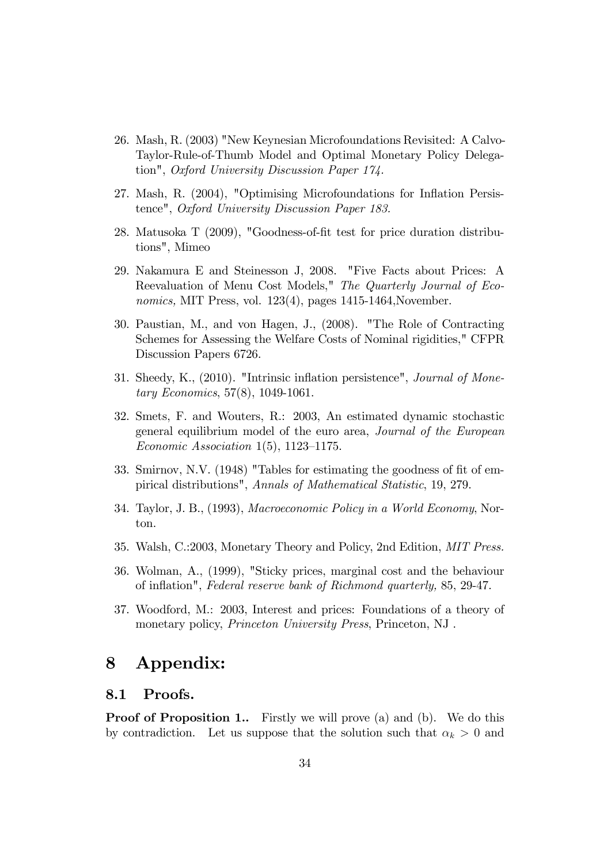- 26. Mash, R. (2003) "New Keynesian Microfoundations Revisited: A Calvo-Taylor-Rule-of-Thumb Model and Optimal Monetary Policy Delegation", Oxford University Discussion Paper 174.
- 27. Mash, R. (2004), "Optimising Microfoundations for Inflation Persistence", Oxford University Discussion Paper 183.
- 28. Matusoka T (2009), "Goodness-of-fit test for price duration distributions", Mimeo
- 29. Nakamura E and Steinesson J, 2008. "Five Facts about Prices: A Reevaluation of Menu Cost Models," The Quarterly Journal of Economics, MIT Press, vol. 123(4), pages 1415-1464, November.
- 30. Paustian, M., and von Hagen, J., (2008). "The Role of Contracting Schemes for Assessing the Welfare Costs of Nominal rigidities," CFPR Discussion Papers 6726.
- 31. Sheedy, K., (2010). "Intrinsic inflation persistence", *Journal of Mone*tary Economics, 57(8), 1049-1061.
- 32. Smets, F. and Wouters, R.: 2003, An estimated dynamic stochastic general equilibrium model of the euro area, Journal of the European Economic Association 1(5), 1123–1175.
- 33. Smirnov, N.V.  $(1948)$  "Tables for estimating the goodness of fit of empirical distributions", Annals of Mathematical Statistic, 19, 279.
- 34. Taylor, J. B., (1993), Macroeconomic Policy in a World Economy, Norton.
- 35. Walsh, C.:2003, Monetary Theory and Policy, 2nd Edition, MIT Press.
- 36. Wolman, A., (1999), "Sticky prices, marginal cost and the behaviour of ináation", Federal reserve bank of Richmond quarterly, 85, 29-47.
- 37. Woodford, M.: 2003, Interest and prices: Foundations of a theory of monetary policy, *Princeton University Press*, Princeton, NJ.

# 8 Appendix:

#### 8.1 Proofs.

**Proof of Proposition 1..** Firstly we will prove (a) and (b). We do this by contradiction. Let us suppose that the solution such that  $\alpha_k > 0$  and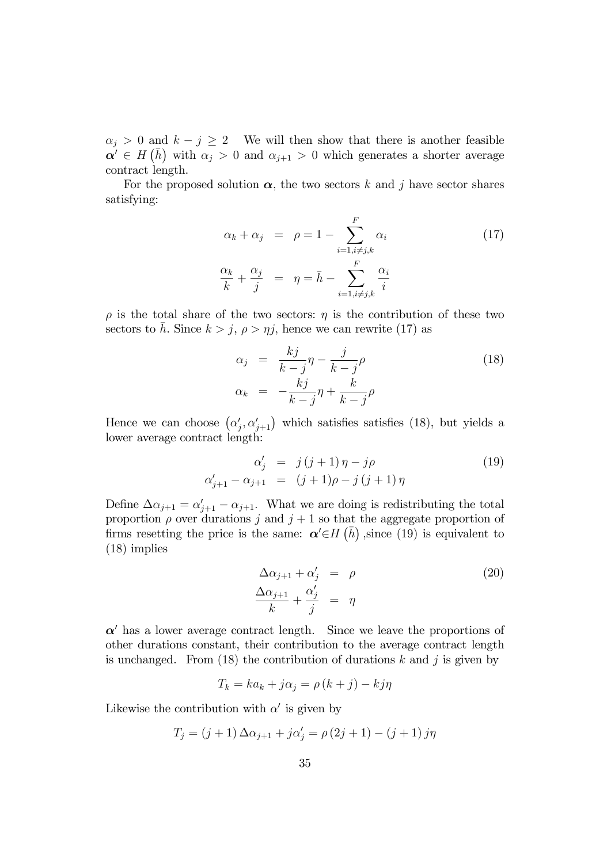$\alpha_j > 0$  and  $k - j \geq 2$  We will then show that there is another feasible  $\alpha' \in H(\bar{h})$  with  $\alpha_j > 0$  and  $\alpha_{j+1} > 0$  which generates a shorter average contract length.

For the proposed solution  $\alpha$ , the two sectors k and j have sector shares satisfying:

$$
\alpha_k + \alpha_j = \rho = 1 - \sum_{i=1, i \neq j, k}^{F} \alpha_i
$$
\n
$$
\frac{\alpha_k}{k} + \frac{\alpha_j}{j} = \eta = \bar{h} - \sum_{i=1, i \neq j, k}^{F} \frac{\alpha_i}{i}
$$
\n(17)

 $\rho$  is the total share of the two sectors:  $\eta$  is the contribution of these two sectors to h. Since  $k > j$ ,  $\rho > \eta j$ , hence we can rewrite (17) as

$$
\alpha_j = \frac{kj}{k-j}\eta - \frac{j}{k-j}\rho
$$
\n
$$
\alpha_k = -\frac{kj}{k-j}\eta + \frac{k}{k-j}\rho
$$
\n(18)

Hence we can choose  $(\alpha'_j, \alpha'_{j+1})$  which satisfies satisfies (18), but yields a lower average contract length:

$$
\alpha'_{j} = j(j+1)\eta - j\rho
$$
  
\n
$$
\alpha'_{j+1} - \alpha_{j+1} = (j+1)\rho - j(j+1)\eta
$$
\n(19)

Define  $\Delta \alpha_{j+1} = \alpha'_{j+1} - \alpha_{j+1}$ . What we are doing is redistributing the total proportion  $\rho$  over durations j and  $j + 1$  so that the aggregate proportion of firms resetting the price is the same:  $\alpha' \in H(\bar{h})$ , since (19) is equivalent to (18) implies

$$
\Delta \alpha_{j+1} + \alpha'_j = \rho
$$
\n
$$
\frac{\Delta \alpha_{j+1}}{k} + \frac{\alpha'_j}{j} = \eta
$$
\n(20)

 $\alpha'$  has a lower average contract length. Since we leave the proportions of other durations constant, their contribution to the average contract length is unchanged. From (18) the contribution of durations k and j is given by

$$
T_k = ka_k + j\alpha_j = \rho (k + j) - kj\eta
$$

Likewise the contribution with  $\alpha'$  is given by

$$
T_j = (j + 1) \Delta \alpha_{j+1} + j \alpha'_j = \rho (2j + 1) - (j + 1) j \eta
$$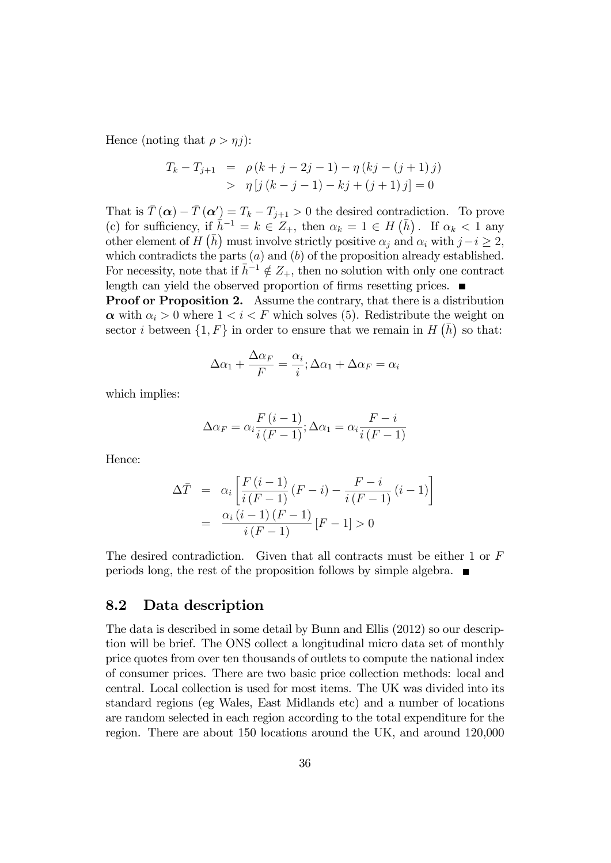Hence (noting that  $\rho > \eta j$ ):

$$
T_k - T_{j+1} = \rho (k + j - 2j - 1) - \eta (kj - (j + 1)j)
$$
  
>  $\eta [j (k - j - 1) - kj + (j + 1)j] = 0$ 

That is  $\overline{T}(\alpha) - \overline{T}(\alpha') = T_k - T_{j+1} > 0$  the desired contradiction. To prove (c) for sufficiency, if  $\bar{h}^{-1} = k \in Z_+$ , then  $\alpha_k = 1 \in H(\bar{h})$ . If  $\alpha_k < 1$  any other element of  $H(\bar{h})$  must involve strictly positive  $\alpha_j$  and  $\alpha_i$  with  $j-i \geq 2$ , which contradicts the parts  $(a)$  and  $(b)$  of the proposition already established. For necessity, note that if  $\bar{h}^{-1} \notin Z_+$ , then no solution with only one contract length can yield the observed proportion of firms resetting prices.

Proof or Proposition 2. Assume the contrary, that there is a distribution  $\alpha$  with  $\alpha_i > 0$  where  $1 < i < F$  which solves (5). Redistribute the weight on sector *i* between  $\{1, F\}$  in order to ensure that we remain in  $H(\bar{h})$  so that:

$$
\Delta \alpha_1 + \frac{\Delta \alpha_F}{F} = \frac{\alpha_i}{i}; \Delta \alpha_1 + \Delta \alpha_F = \alpha_i
$$

which implies:

$$
\Delta \alpha_F = \alpha_i \frac{F(i-1)}{i(F-1)}; \Delta \alpha_1 = \alpha_i \frac{F-i}{i(F-1)}
$$

Hence:

$$
\Delta \bar{T} = \alpha_i \left[ \frac{F(i-1)}{i(F-1)} (F-i) - \frac{F-i}{i(F-1)} (i-1) \right]
$$

$$
= \frac{\alpha_i (i-1) (F-1)}{i(F-1)} [F-1] > 0
$$

The desired contradiction. Given that all contracts must be either 1 or F periods long, the rest of the proposition follows by simple algebra.

#### 8.2 Data description

The data is described in some detail by Bunn and Ellis (2012) so our description will be brief. The ONS collect a longitudinal micro data set of monthly price quotes from over ten thousands of outlets to compute the national index of consumer prices. There are two basic price collection methods: local and central. Local collection is used for most items. The UK was divided into its standard regions (eg Wales, East Midlands etc) and a number of locations are random selected in each region according to the total expenditure for the region. There are about 150 locations around the UK, and around 120,000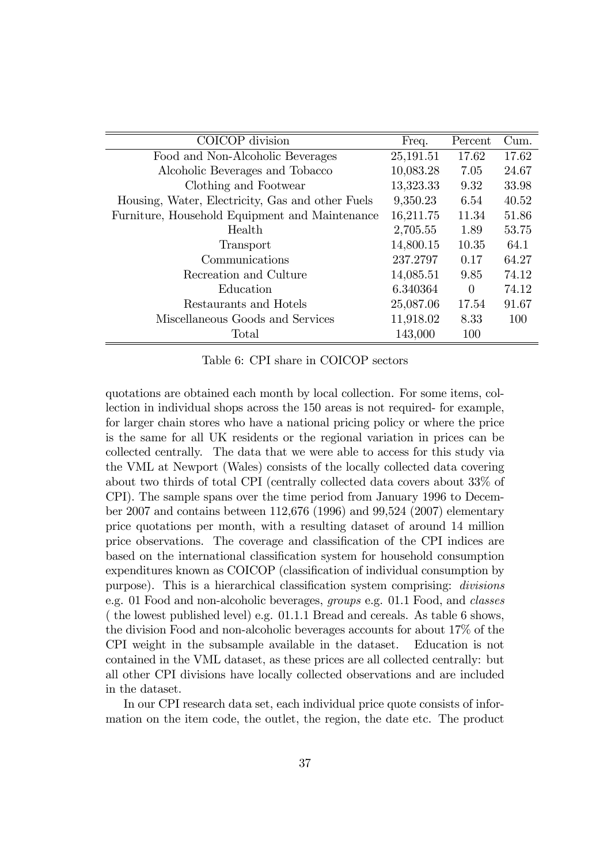| COICOP division                                  | Freq.     | Percent  | Cum.  |
|--------------------------------------------------|-----------|----------|-------|
| Food and Non-Alcoholic Beverages                 | 25,191.51 | 17.62    | 17.62 |
| Alcoholic Beverages and Tobacco                  | 10,083.28 | 7.05     | 24.67 |
| Clothing and Footwear                            | 13,323.33 | 9.32     | 33.98 |
| Housing, Water, Electricity, Gas and other Fuels | 9,350.23  | 6.54     | 40.52 |
| Furniture, Household Equipment and Maintenance   | 16,211.75 | 11.34    | 51.86 |
| Health                                           | 2,705.55  | 1.89     | 53.75 |
| Transport                                        | 14,800.15 | 10.35    | 64.1  |
| Communications                                   | 237.2797  | 0.17     | 64.27 |
| Recreation and Culture                           | 14,085.51 | 9.85     | 74.12 |
| Education                                        | 6.340364  | $\Omega$ | 74.12 |
| Restaurants and Hotels                           | 25,087.06 | 17.54    | 91.67 |
| Miscellaneous Goods and Services                 | 11,918.02 | 8.33     | 100   |
| Total                                            | 143,000   | 100      |       |

Table 6: CPI share in COICOP sectors

quotations are obtained each month by local collection. For some items, collection in individual shops across the 150 areas is not required- for example, for larger chain stores who have a national pricing policy or where the price is the same for all UK residents or the regional variation in prices can be collected centrally. The data that we were able to access for this study via the VML at Newport (Wales) consists of the locally collected data covering about two thirds of total CPI (centrally collected data covers about 33% of CPI). The sample spans over the time period from January 1996 to December 2007 and contains between 112,676 (1996) and 99,524 (2007) elementary price quotations per month, with a resulting dataset of around 14 million price observations. The coverage and classification of the CPI indices are based on the international classification system for household consumption expenditures known as COICOP (classification of individual consumption by purpose). This is a hierarchical classification system comprising: *divisions* e.g. 01 Food and non-alcoholic beverages, groups e.g. 01.1 Food, and classes ( the lowest published level) e.g. 01.1.1 Bread and cereals. As table 6 shows, the division Food and non-alcoholic beverages accounts for about 17% of the CPI weight in the subsample available in the dataset. Education is not contained in the VML dataset, as these prices are all collected centrally: but all other CPI divisions have locally collected observations and are included in the dataset.

In our CPI research data set, each individual price quote consists of information on the item code, the outlet, the region, the date etc. The product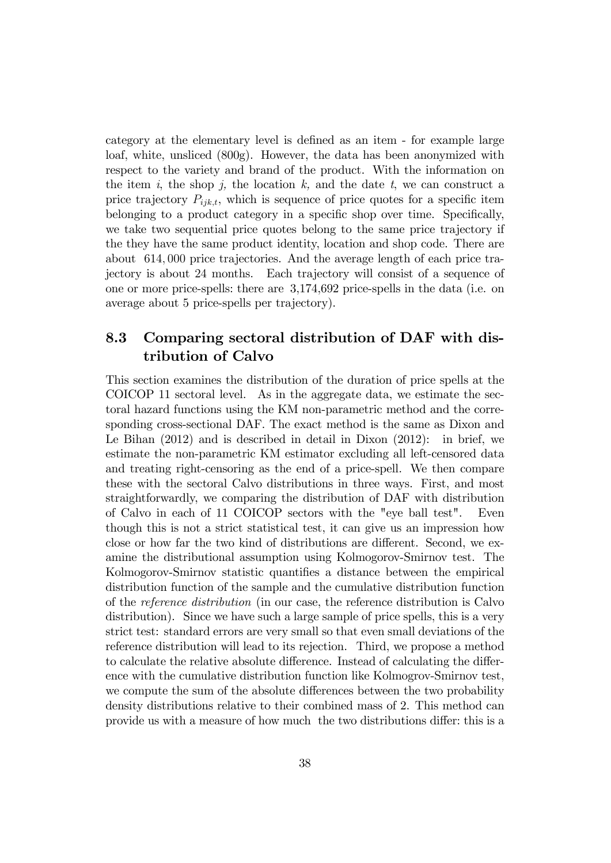category at the elementary level is defined as an item - for example large loaf, white, unsliced (800g). However, the data has been anonymized with respect to the variety and brand of the product. With the information on the item i, the shop j, the location  $k$ , and the date  $t$ , we can construct a price trajectory  $P_{iik,t}$ , which is sequence of price quotes for a specific item belonging to a product category in a specific shop over time. Specifically, we take two sequential price quotes belong to the same price trajectory if the they have the same product identity, location and shop code. There are about 614; 000 price trajectories. And the average length of each price trajectory is about 24 months. Each trajectory will consist of a sequence of one or more price-spells: there are 3,174,692 price-spells in the data (i.e. on average about 5 price-spells per trajectory).

### 8.3 Comparing sectoral distribution of DAF with distribution of Calvo

This section examines the distribution of the duration of price spells at the COICOP 11 sectoral level. As in the aggregate data, we estimate the sectoral hazard functions using the KM non-parametric method and the corresponding cross-sectional DAF. The exact method is the same as Dixon and Le Bihan (2012) and is described in detail in Dixon (2012): in brief, we estimate the non-parametric KM estimator excluding all left-censored data and treating right-censoring as the end of a price-spell. We then compare these with the sectoral Calvo distributions in three ways. First, and most straightforwardly, we comparing the distribution of DAF with distribution of Calvo in each of 11 COICOP sectors with the "eye ball test". Even though this is not a strict statistical test, it can give us an impression how close or how far the two kind of distributions are different. Second, we examine the distributional assumption using Kolmogorov-Smirnov test. The Kolmogorov-Smirnov statistic quantifies a distance between the empirical distribution function of the sample and the cumulative distribution function of the reference distribution (in our case, the reference distribution is Calvo distribution). Since we have such a large sample of price spells, this is a very strict test: standard errors are very small so that even small deviations of the reference distribution will lead to its rejection. Third, we propose a method to calculate the relative absolute difference. Instead of calculating the difference with the cumulative distribution function like Kolmogrov-Smirnov test, we compute the sum of the absolute differences between the two probability density distributions relative to their combined mass of 2. This method can provide us with a measure of how much the two distributions differ: this is a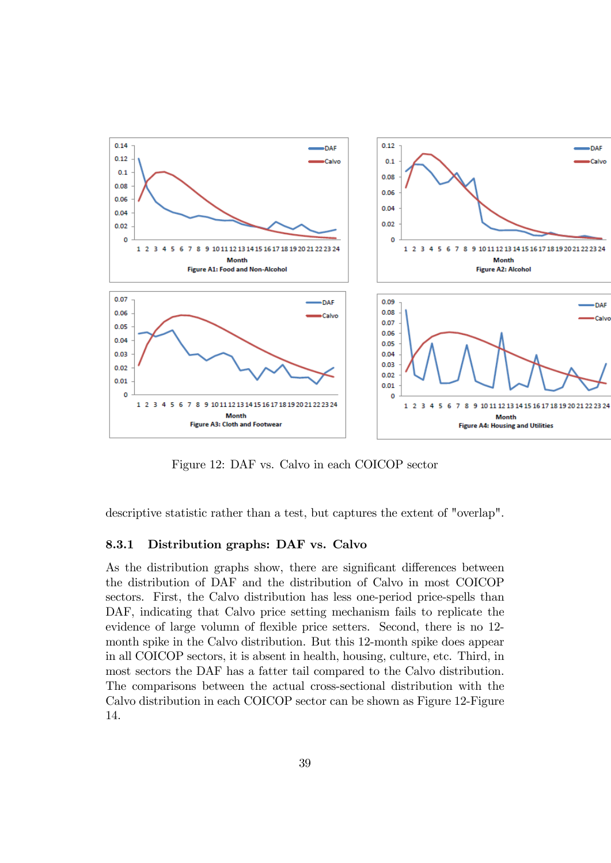

Figure 12: DAF vs. Calvo in each COICOP sector

descriptive statistic rather than a test, but captures the extent of "overlap".

#### 8.3.1 Distribution graphs: DAF vs. Calvo

As the distribution graphs show, there are significant differences between the distribution of DAF and the distribution of Calvo in most COICOP sectors. First, the Calvo distribution has less one-period price-spells than DAF, indicating that Calvo price setting mechanism fails to replicate the evidence of large volumn of flexible price setters. Second, there is no 12month spike in the Calvo distribution. But this 12-month spike does appear in all COICOP sectors, it is absent in health, housing, culture, etc. Third, in most sectors the DAF has a fatter tail compared to the Calvo distribution. The comparisons between the actual cross-sectional distribution with the Calvo distribution in each COICOP sector can be shown as Figure 12-Figure 14.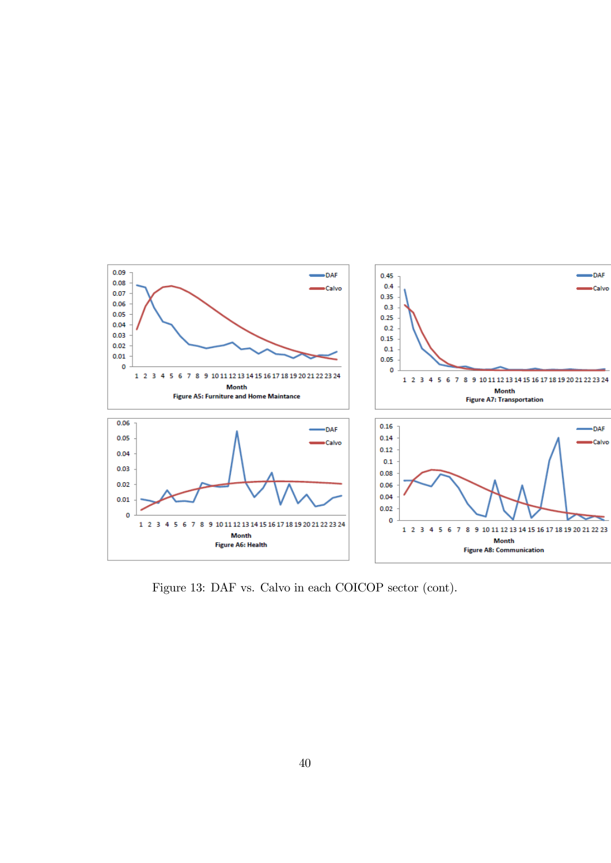

Figure 13: DAF vs. Calvo in each COICOP sector (cont).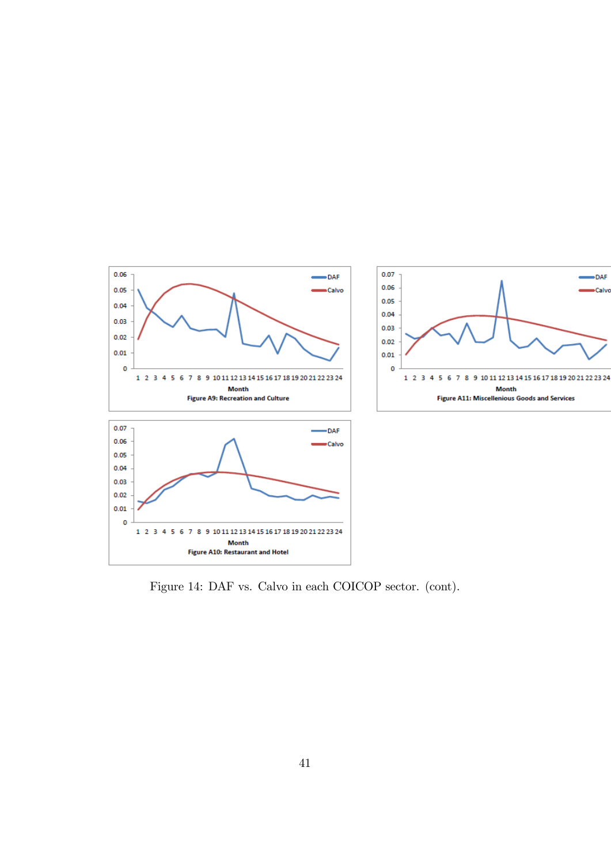

Figure 14: DAF vs. Calvo in each COICOP sector. (cont).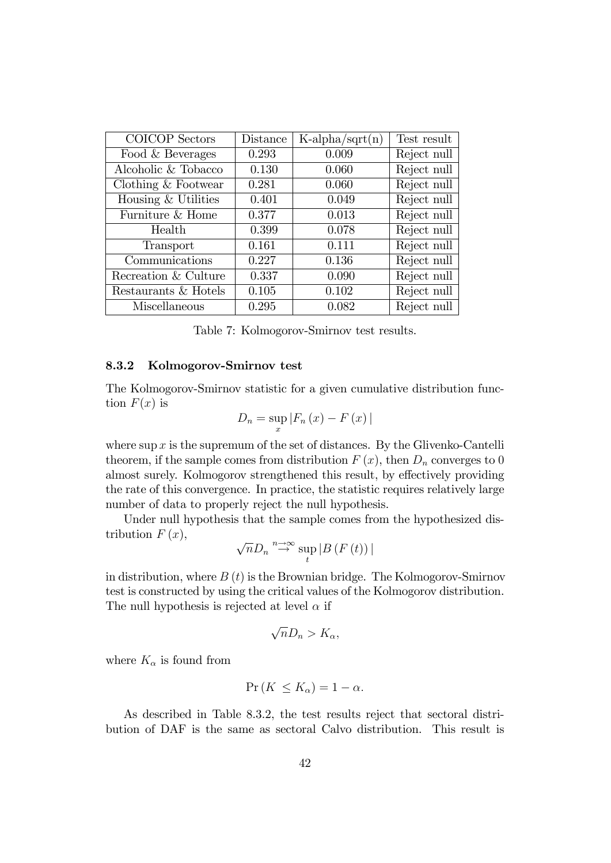| COICOP Sectors       | Distance | $K\text{-alpha/sqrt}(n)$ | Test result |
|----------------------|----------|--------------------------|-------------|
| Food & Beverages     | 0.293    | 0.009                    | Reject null |
| Alcoholic & Tobacco  | 0.130    | 0.060                    | Reject null |
| Clothing & Footwear  | 0.281    | 0.060                    | Reject null |
| Housing & Utilities  | 0.401    | 0.049                    | Reject null |
| Furniture & Home     | 0.377    | 0.013                    | Reject null |
| Health               | 0.399    | 0.078                    | Reject null |
| Transport            | 0.161    | 0.111                    | Reject null |
| Communications       | 0.227    | 0.136                    | Reject null |
| Recreation & Culture | 0.337    | 0.090                    | Reject null |
| Restaurants & Hotels | 0.105    | 0.102                    | Reject null |
| Miscellaneous        | 0.295    | 0.082                    | Reject null |

Table 7: Kolmogorov-Smirnov test results.

#### 8.3.2 Kolmogorov-Smirnov test

The Kolmogorov-Smirnov statistic for a given cumulative distribution function  $F(x)$  is

$$
D_n = \sup_x |F_n(x) - F(x)|
$$

where sup  $x$  is the supremum of the set of distances. By the Glivenko-Cantelli theorem, if the sample comes from distribution  $F(x)$ , then  $D_n$  converges to 0 almost surely. Kolmogorov strengthened this result, by effectively providing the rate of this convergence. In practice, the statistic requires relatively large number of data to properly reject the null hypothesis.

Under null hypothesis that the sample comes from the hypothesized distribution  $F(x)$ ,

$$
\sqrt{n}D_{n}\overset{n\to\infty}{\to}\sup_{t}|B(F(t))|
$$

in distribution, where  $B(t)$  is the Brownian bridge. The Kolmogorov-Smirnov test is constructed by using the critical values of the Kolmogorov distribution. The null hypothesis is rejected at level  $\alpha$  if

$$
\sqrt{n}D_n > K_\alpha,
$$

where  $K_{\alpha}$  is found from

$$
\Pr\left(K \le K_{\alpha}\right) = 1 - \alpha.
$$

As described in Table 8.3.2, the test results reject that sectoral distribution of DAF is the same as sectoral Calvo distribution. This result is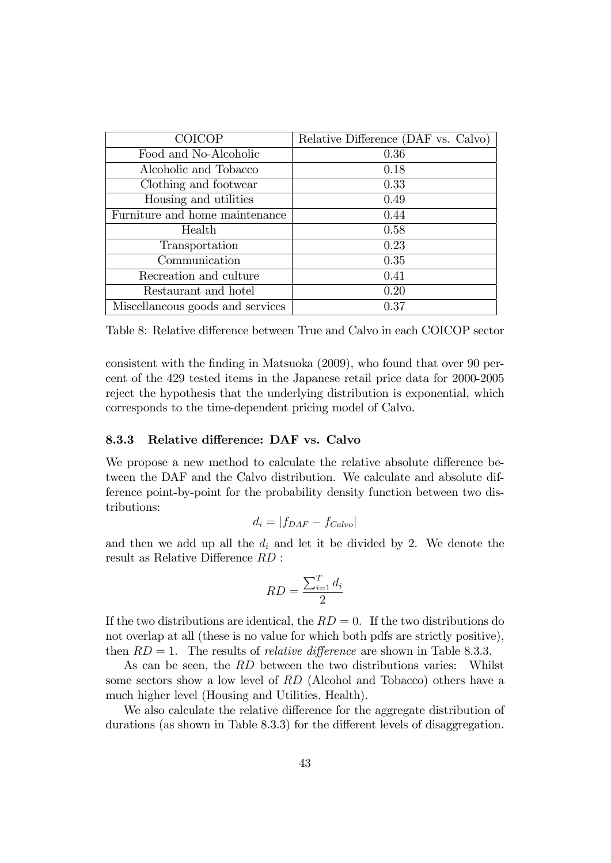| <b>COICOP</b>                    | Relative Difference (DAF vs. Calvo) |
|----------------------------------|-------------------------------------|
| Food and No-Alcoholic            | 0.36                                |
| Alcoholic and Tobacco            | 0.18                                |
| Clothing and footwear            | 0.33                                |
| Housing and utilities            | 0.49                                |
| Furniture and home maintenance   | 0.44                                |
| Health                           | 0.58                                |
| Transportation                   | 0.23                                |
| Communication                    | 0.35                                |
| Recreation and culture           | 0.41                                |
| Restaurant and hotel             | 0.20                                |
| Miscellaneous goods and services | 0.37                                |

Table 8: Relative difference between True and Calvo in each COICOP sector

consistent with the finding in Matsuoka (2009), who found that over 90 percent of the 429 tested items in the Japanese retail price data for 2000-2005 reject the hypothesis that the underlying distribution is exponential, which corresponds to the time-dependent pricing model of Calvo.

#### 8.3.3 Relative difference: DAF vs. Calvo

We propose a new method to calculate the relative absolute difference between the DAF and the Calvo distribution. We calculate and absolute difference point-by-point for the probability density function between two distributions:

$$
d_i = |f_{DAF} - f_{Calvo}|
$$

and then we add up all the  $d_i$  and let it be divided by 2. We denote the result as Relative Difference  $RD$ :

$$
RD = \frac{\sum_{i=1}^{T} d_i}{2}
$$

If the two distributions are identical, the  $RD = 0$ . If the two distributions do not overlap at all (these is no value for which both pdfs are strictly positive), then  $RD = 1$ . The results of *relative difference* are shown in Table 8.3.3.

As can be seen, the RD between the two distributions varies: Whilst some sectors show a low level of RD (Alcohol and Tobacco) others have a much higher level (Housing and Utilities, Health).

We also calculate the relative difference for the aggregate distribution of durations (as shown in Table  $8.3.3$ ) for the different levels of disaggregation.